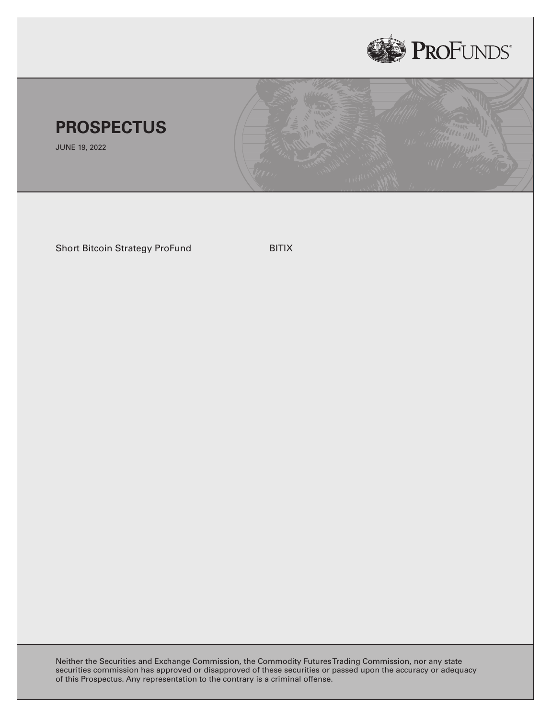



JUNE 19, 2022

Short Bitcoin Strategy ProFund BITIX

Neither the Securities and Exchange Commission, the Commodity FuturesTrading Commission, nor any state securities commission has approved or disapproved of these securities or passed upon the accuracy or adequacy of this Prospectus. Any representation to the contrary is a criminal offense.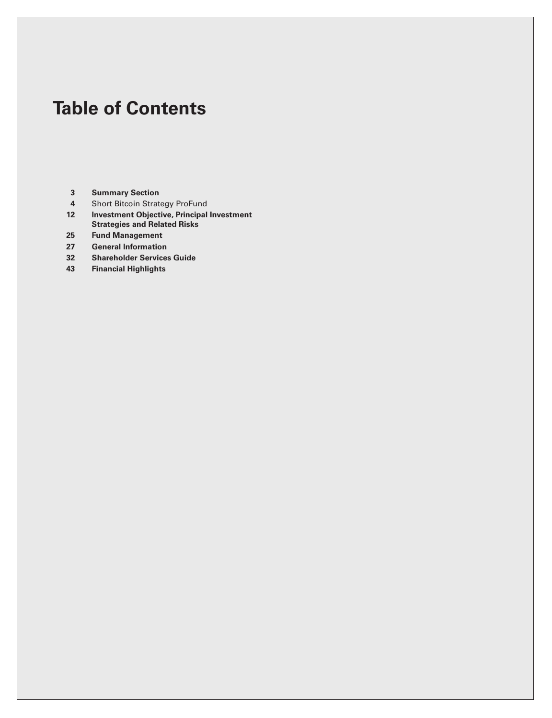# **Table of Contents**

- **[Summary Section](#page-2-0)**
- [Short Bitcoin Strategy ProFund](#page-3-0)
- **[Investment Objective, Principal Investment](#page-11-0) [Strategies and Related Risks](#page-11-0)**
- **[Fund Management](#page-24-0)**
- **[General Information](#page-26-0)**
- **[Shareholder Services Guide](#page-31-0)**
- **[Financial Highlights](#page-42-0)**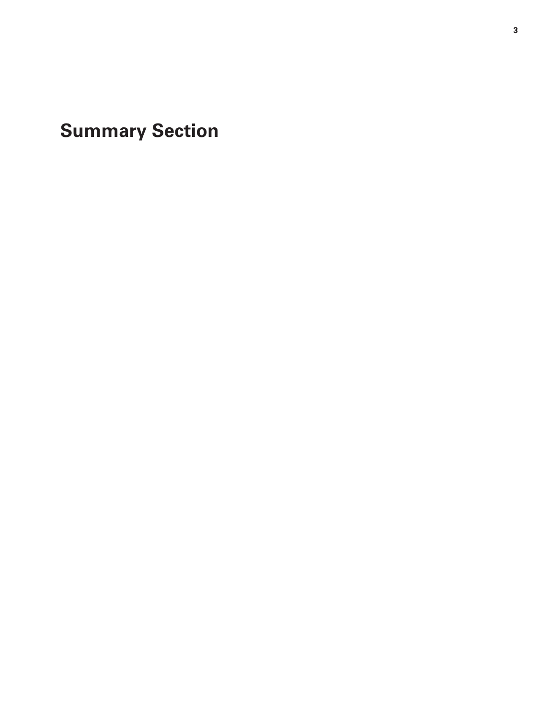<span id="page-2-0"></span>**Summary Section**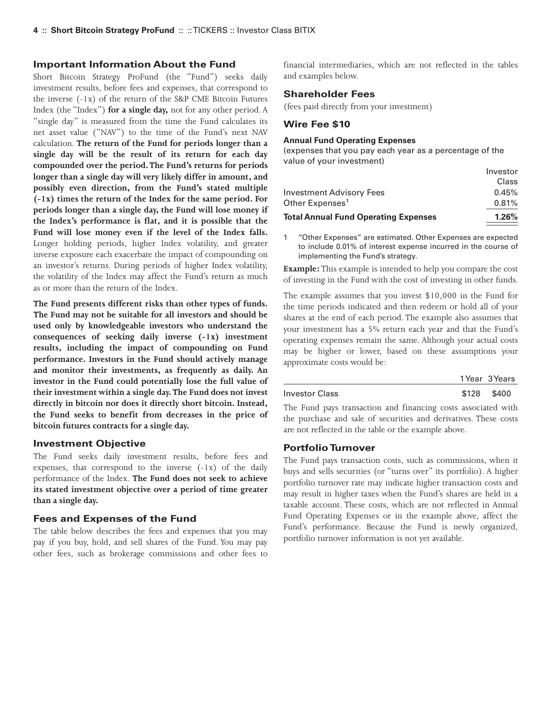#### <span id="page-3-0"></span>**Important Information About the Fund**

Short Bitcoin Strategy ProFund (the "Fund") seeks daily investment results, before fees and expenses, that correspond to the inverse (-1x) of the return of the S&P CME Bitcoin Futures Index (the "Index") **for a single day,** not for any other period. A "single day" is measured from the time the Fund calculates its net asset value ("NAV") to the time of the Fund's next NAV calculation. **The return of the Fund for periods longer than a single day will be the result of its return for each day compounded over the period.The Fund's returns for periods longer than a single day will very likely differ in amount, and possibly even direction, from the Fund's stated multiple (-1x) times the return of the Index for the same period. For periods longer than a single day, the Fund will lose money if the Index's performance is flat, and it is possible that the Fund will lose money even if the level of the Index falls.** Longer holding periods, higher Index volatility, and greater inverse exposure each exacerbate the impact of compounding on an investor's returns. During periods of higher Index volatility, the volatility of the Index may affect the Fund's return as much as or more than the return of the Index.

**The Fund presents different risks than other types of funds. The Fund may not be suitable for all investors and should be used only by knowledgeable investors who understand the consequences of seeking daily inverse (-1x) investment results, including the impact of compounding on Fund performance. Investors in the Fund should actively manage and monitor their investments, as frequently as daily. An investor in the Fund could potentially lose the full value of their investment within a single day.The Fund does not invest directly in bitcoin nor does it directly short bitcoin. Instead, the Fund seeks to benefit from decreases in the price of bitcoin futures contracts for a single day.**

#### **Investment Objective**

The Fund seeks daily investment results, before fees and expenses, that correspond to the inverse (-1x) of the daily performance of the Index. **The Fund does not seek to achieve its stated investment objective over a period of time greater than a single day.**

#### **Fees and Expenses of the Fund**

The table below describes the fees and expenses that you may pay if you buy, hold, and sell shares of the Fund. You may pay other fees, such as brokerage commissions and other fees to financial intermediaries, which are not reflected in the tables and examples below.

# **Shareholder Fees**

(fees paid directly from your investment)

#### **Wire Fee \$10**

#### **Annual Fund Operating Expenses**

(expenses that you pay each year as a percentage of the value of your investment)

| <b>Total Annual Fund Operating Expenses</b> | 1.26%     |
|---------------------------------------------|-----------|
| Other Expenses <sup>1</sup>                 | 0.81%     |
| Investment Advisory Fees                    | 0.45%     |
|                                             | Class     |
|                                             | 111003101 |

Investor

1 "Other Expenses" are estimated. Other Expenses are expected to include 0.01% of interest expense incurred in the course of implementing the Fund's strategy.

**Example:**This example is intended to help you compare the cost of investing in the Fund with the cost of investing in other funds.

The example assumes that you invest \$10,000 in the Fund for the time periods indicated and then redeem or hold all of your shares at the end of each period. The example also assumes that your investment has a 5% return each year and that the Fund's operating expenses remain the same. Although your actual costs may be higher or lower, based on these assumptions your approximate costs would be:

|                | 1 Year 3 Years |
|----------------|----------------|
| Investor Class | \$128 \$400    |

The Fund pays transaction and financing costs associated with the purchase and sale of securities and derivatives. These costs are not reflected in the table or the example above.

#### **Portfolio Turnover**

The Fund pays transaction costs, such as commissions, when it buys and sells securities (or "turns over" its portfolio). A higher portfolio turnover rate may indicate higher transaction costs and may result in higher taxes when the Fund's shares are held in a taxable account. These costs, which are not reflected in Annual Fund Operating Expenses or in the example above, affect the Fund's performance. Because the Fund is newly organized, portfolio turnover information is not yet available.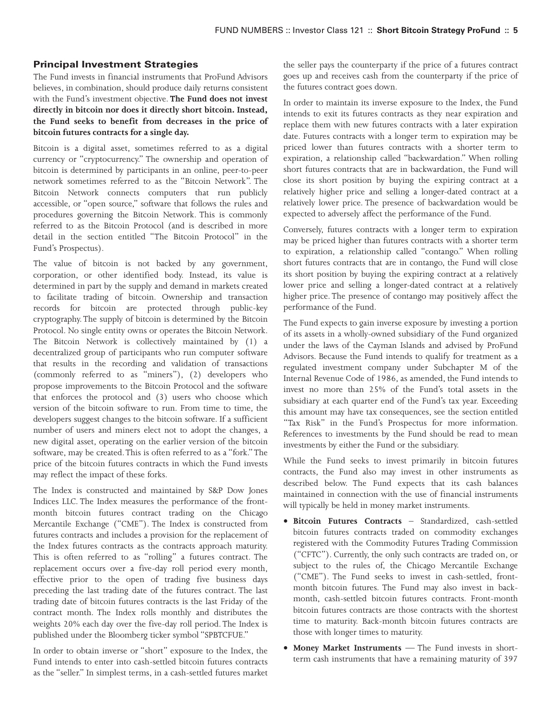# **Principal Investment Strategies**

The Fund invests in financial instruments that ProFund Advisors believes, in combination, should produce daily returns consistent with the Fund's investment objective. **The Fund does not invest directly in bitcoin nor does it directly short bitcoin. Instead, the Fund seeks to benefit from decreases in the price of bitcoin futures contracts for a single day.**

Bitcoin is a digital asset, sometimes referred to as a digital currency or "cryptocurrency." The ownership and operation of bitcoin is determined by participants in an online, peer-to-peer network sometimes referred to as the "Bitcoin Network". The Bitcoin Network connects computers that run publicly accessible, or "open source," software that follows the rules and procedures governing the Bitcoin Network. This is commonly referred to as the Bitcoin Protocol (and is described in more detail in the section entitled "The Bitcoin Protocol" in the Fund's Prospectus).

The value of bitcoin is not backed by any government, corporation, or other identified body. Instead, its value is determined in part by the supply and demand in markets created to facilitate trading of bitcoin. Ownership and transaction records for bitcoin are protected through public-key cryptography. The supply of bitcoin is determined by the Bitcoin Protocol. No single entity owns or operates the Bitcoin Network. The Bitcoin Network is collectively maintained by (1) a decentralized group of participants who run computer software that results in the recording and validation of transactions (commonly referred to as "miners"), (2) developers who propose improvements to the Bitcoin Protocol and the software that enforces the protocol and (3) users who choose which version of the bitcoin software to run. From time to time, the developers suggest changes to the bitcoin software. If a sufficient number of users and miners elect not to adopt the changes, a new digital asset, operating on the earlier version of the bitcoin software, may be created.This is often referred to as a "fork."The price of the bitcoin futures contracts in which the Fund invests may reflect the impact of these forks.

The Index is constructed and maintained by S&P Dow Jones Indices LLC. The Index measures the performance of the frontmonth bitcoin futures contract trading on the Chicago Mercantile Exchange ("CME"). The Index is constructed from futures contracts and includes a provision for the replacement of the Index futures contracts as the contracts approach maturity. This is often referred to as "rolling" a futures contract. The replacement occurs over a five-day roll period every month, effective prior to the open of trading five business days preceding the last trading date of the futures contract. The last trading date of bitcoin futures contracts is the last Friday of the contract month. The Index rolls monthly and distributes the weights 20% each day over the five-day roll period. The Index is published under the Bloomberg ticker symbol "SPBTCFUE."

In order to obtain inverse or "short" exposure to the Index, the Fund intends to enter into cash-settled bitcoin futures contracts as the "seller." In simplest terms, in a cash-settled futures market the seller pays the counterparty if the price of a futures contract goes up and receives cash from the counterparty if the price of the futures contract goes down.

In order to maintain its inverse exposure to the Index, the Fund intends to exit its futures contracts as they near expiration and replace them with new futures contracts with a later expiration date. Futures contracts with a longer term to expiration may be priced lower than futures contracts with a shorter term to expiration, a relationship called "backwardation." When rolling short futures contracts that are in backwardation, the Fund will close its short position by buying the expiring contract at a relatively higher price and selling a longer-dated contract at a relatively lower price. The presence of backwardation would be expected to adversely affect the performance of the Fund.

Conversely, futures contracts with a longer term to expiration may be priced higher than futures contracts with a shorter term to expiration, a relationship called "contango." When rolling short futures contracts that are in contango, the Fund will close its short position by buying the expiring contract at a relatively lower price and selling a longer-dated contract at a relatively higher price. The presence of contango may positively affect the performance of the Fund.

The Fund expects to gain inverse exposure by investing a portion of its assets in a wholly-owned subsidiary of the Fund organized under the laws of the Cayman Islands and advised by ProFund Advisors. Because the Fund intends to qualify for treatment as a regulated investment company under Subchapter M of the Internal Revenue Code of 1986, as amended, the Fund intends to invest no more than 25% of the Fund's total assets in the subsidiary at each quarter end of the Fund's tax year. Exceeding this amount may have tax consequences, see the section entitled "Tax Risk" in the Fund's Prospectus for more information. References to investments by the Fund should be read to mean investments by either the Fund or the subsidiary.

While the Fund seeks to invest primarily in bitcoin futures contracts, the Fund also may invest in other instruments as described below. The Fund expects that its cash balances maintained in connection with the use of financial instruments will typically be held in money market instruments.

- **Bitcoin Futures Contracts** Standardized, cash-settled bitcoin futures contracts traded on commodity exchanges registered with the Commodity Futures Trading Commission ("CFTC"). Currently, the only such contracts are traded on, or subject to the rules of, the Chicago Mercantile Exchange ("CME"). The Fund seeks to invest in cash-settled, frontmonth bitcoin futures. The Fund may also invest in backmonth, cash-settled bitcoin futures contracts. Front-month bitcoin futures contracts are those contracts with the shortest time to maturity. Back-month bitcoin futures contracts are those with longer times to maturity.
- **Money Market Instruments** The Fund invests in shortterm cash instruments that have a remaining maturity of 397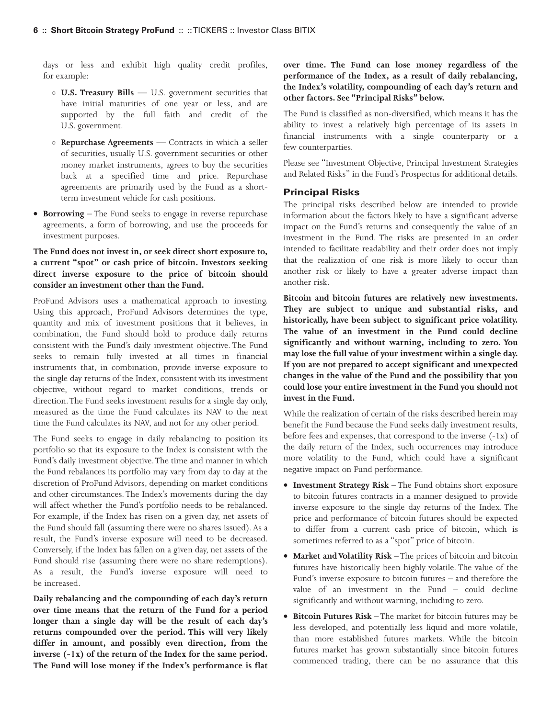days or less and exhibit high quality credit profiles, for example:

- **U.S. Treasury Bills** U.S. government securities that have initial maturities of one year or less, and are supported by the full faith and credit of the U.S. government.
- **Repurchase Agreements** Contracts in which a seller of securities, usually U.S. government securities or other money market instruments, agrees to buy the securities back at a specified time and price. Repurchase agreements are primarily used by the Fund as a shortterm investment vehicle for cash positions.
- **Borrowing** The Fund seeks to engage in reverse repurchase agreements, a form of borrowing, and use the proceeds for investment purposes.

# **The Fund does not invest in, or seek direct short exposure to, a current "spot" or cash price of bitcoin. Investors seeking direct inverse exposure to the price of bitcoin should consider an investment other than the Fund.**

ProFund Advisors uses a mathematical approach to investing. Using this approach, ProFund Advisors determines the type, quantity and mix of investment positions that it believes, in combination, the Fund should hold to produce daily returns consistent with the Fund's daily investment objective. The Fund seeks to remain fully invested at all times in financial instruments that, in combination, provide inverse exposure to the single day returns of the Index, consistent with its investment objective, without regard to market conditions, trends or direction.The Fund seeks investment results for a single day only, measured as the time the Fund calculates its NAV to the next time the Fund calculates its NAV, and not for any other period.

The Fund seeks to engage in daily rebalancing to position its portfolio so that its exposure to the Index is consistent with the Fund's daily investment objective.The time and manner in which the Fund rebalances its portfolio may vary from day to day at the discretion of ProFund Advisors, depending on market conditions and other circumstances. The Index's movements during the day will affect whether the Fund's portfolio needs to be rebalanced. For example, if the Index has risen on a given day, net assets of the Fund should fall (assuming there were no shares issued). As a result, the Fund's inverse exposure will need to be decreased. Conversely, if the Index has fallen on a given day, net assets of the Fund should rise (assuming there were no share redemptions). As a result, the Fund's inverse exposure will need to be increased.

**Daily rebalancing and the compounding of each day's return over time means that the return of the Fund for a period longer than a single day will be the result of each day's returns compounded over the period. This will very likely differ in amount, and possibly even direction, from the inverse (-1x) of the return of the Index for the same period. The Fund will lose money if the Index's performance is flat**

**over time. The Fund can lose money regardless of the performance of the Index, as a result of daily rebalancing, the Index's volatility, compounding of each day's return and other factors. See "Principal Risks" below.**

The Fund is classified as non-diversified, which means it has the ability to invest a relatively high percentage of its assets in financial instruments with a single counterparty or a few counterparties.

Please see "Investment Objective, Principal Investment Strategies and Related Risks" in the Fund's Prospectus for additional details.

## **Principal Risks**

The principal risks described below are intended to provide information about the factors likely to have a significant adverse impact on the Fund's returns and consequently the value of an investment in the Fund. The risks are presented in an order intended to facilitate readability and their order does not imply that the realization of one risk is more likely to occur than another risk or likely to have a greater adverse impact than another risk.

**Bitcoin and bitcoin futures are relatively new investments. They are subject to unique and substantial risks, and historically, have been subject to significant price volatility. The value of an investment in the Fund could decline significantly and without warning, including to zero. You may lose the full value of your investment within a single day. If you are not prepared to accept significant and unexpected changes in the value of the Fund and the possibility that you could lose your entire investment in the Fund you should not invest in the Fund.**

While the realization of certain of the risks described herein may benefit the Fund because the Fund seeks daily investment results, before fees and expenses, that correspond to the inverse (-1x) of the daily return of the Index, such occurrences may introduce more volatility to the Fund, which could have a significant negative impact on Fund performance.

- **Investment Strategy Risk** The Fund obtains short exposure to bitcoin futures contracts in a manner designed to provide inverse exposure to the single day returns of the Index. The price and performance of bitcoin futures should be expected to differ from a current cash price of bitcoin, which is sometimes referred to as a "spot" price of bitcoin.
- **Market and Volatility Risk** The prices of bitcoin and bitcoin futures have historically been highly volatile. The value of the Fund's inverse exposure to bitcoin futures – and therefore the value of an investment in the Fund – could decline significantly and without warning, including to zero.
- **Bitcoin Futures Risk** The market for bitcoin futures may be less developed, and potentially less liquid and more volatile, than more established futures markets. While the bitcoin futures market has grown substantially since bitcoin futures commenced trading, there can be no assurance that this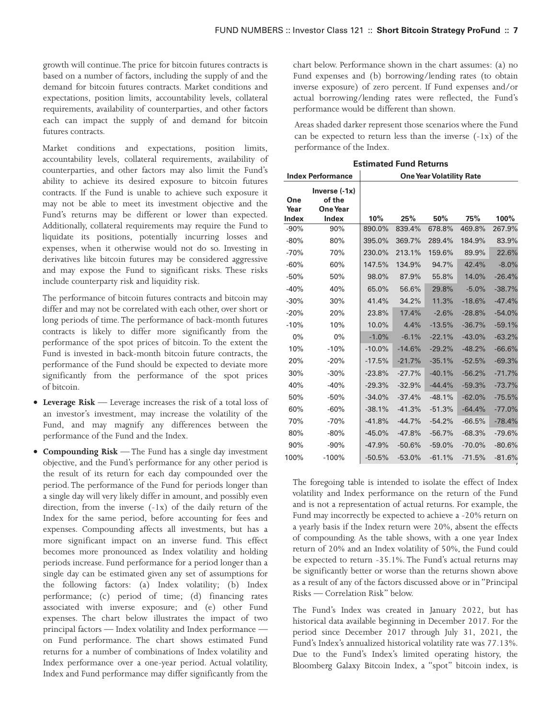growth will continue.The price for bitcoin futures contracts is based on a number of factors, including the supply of and the demand for bitcoin futures contracts. Market conditions and expectations, position limits, accountability levels, collateral requirements, availability of counterparties, and other factors each can impact the supply of and demand for bitcoin futures contracts.

Market conditions and expectations, position limits, accountability levels, collateral requirements, availability of counterparties, and other factors may also limit the Fund's ability to achieve its desired exposure to bitcoin futures contracts. If the Fund is unable to achieve such exposure it may not be able to meet its investment objective and the Fund's returns may be different or lower than expected. Additionally, collateral requirements may require the Fund to liquidate its positions, potentially incurring losses and expenses, when it otherwise would not do so. Investing in derivatives like bitcoin futures may be considered aggressive and may expose the Fund to significant risks. These risks include counterparty risk and liquidity risk.

The performance of bitcoin futures contracts and bitcoin may differ and may not be correlated with each other, over short or long periods of time. The performance of back-month futures contracts is likely to differ more significantly from the performance of the spot prices of bitcoin. To the extent the Fund is invested in back-month bitcoin future contracts, the performance of the Fund should be expected to deviate more significantly from the performance of the spot prices of bitcoin.

- **Leverage Risk** Leverage increases the risk of a total loss of an investor's investment, may increase the volatility of the Fund, and may magnify any differences between the performance of the Fund and the Index.
- **Compounding Risk** The Fund has a single day investment objective, and the Fund's performance for any other period is the result of its return for each day compounded over the period. The performance of the Fund for periods longer than a single day will very likely differ in amount, and possibly even direction, from the inverse (-1x) of the daily return of the Index for the same period, before accounting for fees and expenses. Compounding affects all investments, but has a more significant impact on an inverse fund. This effect becomes more pronounced as Index volatility and holding periods increase. Fund performance for a period longer than a single day can be estimated given any set of assumptions for the following factors: (a) Index volatility; (b) Index performance; (c) period of time; (d) financing rates associated with inverse exposure; and (e) other Fund expenses. The chart below illustrates the impact of two principal factors — Index volatility and Index performance on Fund performance. The chart shows estimated Fund returns for a number of combinations of Index volatility and Index performance over a one-year period. Actual volatility, Index and Fund performance may differ significantly from the

chart below. Performance shown in the chart assumes: (a) no Fund expenses and (b) borrowing/lending rates (to obtain inverse exposure) of zero percent. If Fund expenses and/or actual borrowing/lending rates were reflected, the Fund's performance would be different than shown.

Areas shaded darker represent those scenarios where the Fund can be expected to return less than the inverse  $(-1x)$  of the performance of the Index.

|             | <b>One Year Volatility Rate</b><br><b>Index Performance</b> |          |          |          |          |          |
|-------------|-------------------------------------------------------------|----------|----------|----------|----------|----------|
| One<br>Year | Inverse $(-1x)$<br>of the<br><b>One Year</b>                |          |          |          |          |          |
| Index       | <b>Index</b>                                                | 10%      | 25%      | 50%      | 75%      | 100%     |
| $-90%$      | 90%                                                         | 890.0%   | 839.4%   | 678.8%   | 469.8%   | 267.9%   |
| $-80%$      | 80%                                                         | 395.0%   | 369.7%   | 289.4%   | 184.9%   | 83.9%    |
| $-70%$      | 70%                                                         | 230.0%   | 213.1%   | 159.6%   | 89.9%    | 22.6%    |
| $-60%$      | 60%                                                         | 147.5%   | 134.9%   | 94.7%    | 42.4%    | $-8.0%$  |
| $-50%$      | 50%                                                         | 98.0%    | 87.9%    | 55.8%    | 14.0%    | $-26.4%$ |
| $-40%$      | 40%                                                         | 65.0%    | 56.6%    | 29.8%    | $-5.0%$  | $-38.7%$ |
| $-30%$      | 30%                                                         | 41.4%    | 34.2%    | 11.3%    | $-18.6%$ | $-47.4%$ |
| $-20%$      | 20%                                                         | 23.8%    | 17.4%    | $-2.6%$  | $-28.8%$ | $-54.0%$ |
| $-10%$      | 10%                                                         | 10.0%    | 4.4%     | $-13.5%$ | $-36.7%$ | $-59.1%$ |
| 0%          | $0\%$                                                       | $-1.0%$  | $-6.1%$  | $-22.1%$ | $-43.0%$ | $-63.2%$ |
| 10%         | $-10%$                                                      | $-10.0%$ | $-14.6%$ | $-29.2%$ | $-48.2%$ | $-66.6%$ |
| 20%         | $-20%$                                                      | $-17.5%$ | $-21.7%$ | $-35.1%$ | $-52.5%$ | $-69.3%$ |
| 30%         | $-30%$                                                      | $-23.8%$ | $-27.7%$ | $-40.1%$ | $-56.2%$ | $-71.7%$ |
| 40%         | $-40%$                                                      | $-29.3%$ | $-32.9%$ | $-44.4%$ | $-59.3%$ | $-73.7%$ |
| 50%         | $-50%$                                                      | $-34.0%$ | $-37.4%$ | $-48.1%$ | $-62.0%$ | $-75.5%$ |
| 60%         | $-60%$                                                      | $-38.1%$ | $-41.3%$ | $-51.3%$ | $-64.4%$ | $-77.0%$ |
| 70%         | $-70%$                                                      | $-41.8%$ | $-44.7%$ | $-54.2%$ | $-66.5%$ | $-78.4%$ |
| 80%         | $-80%$                                                      | $-45.0%$ | $-47.8%$ | $-56.7%$ | $-68.3%$ | $-79.6%$ |
| 90%         | $-90%$                                                      | $-47.9%$ | $-50.6%$ | $-59.0%$ | $-70.0%$ | $-80.6%$ |
| 100%        | $-100%$                                                     | $-50.5%$ | $-53.0%$ | $-61.1%$ | $-71.5%$ | $-81.6%$ |
|             |                                                             |          |          |          |          |          |

**Estimated Fund Returns**

The foregoing table is intended to isolate the effect of Index volatility and Index performance on the return of the Fund and is not a representation of actual returns. For example, the Fund may incorrectly be expected to achieve a -20% return on a yearly basis if the Index return were 20%, absent the effects of compounding. As the table shows, with a one year Index return of 20% and an Index volatility of 50%, the Fund could be expected to return -35.1%. The Fund's actual returns may be significantly better or worse than the returns shown above as a result of any of the factors discussed above or in "Principal Risks — Correlation Risk" below.

The Fund's Index was created in January 2022, but has historical data available beginning in December 2017. For the period since December 2017 through July 31, 2021, the Fund's Index's annualized historical volatility rate was 77.13%. Due to the Fund's Index's limited operating history, the Bloomberg Galaxy Bitcoin Index, a "spot" bitcoin index, is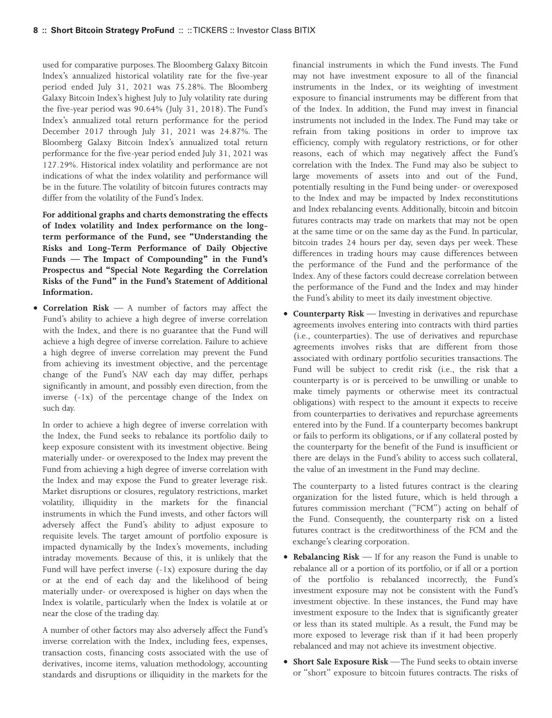used for comparative purposes. The Bloomberg Galaxy Bitcoin Index's annualized historical volatility rate for the five-year period ended July 31, 2021 was 75.28%. The Bloomberg Galaxy Bitcoin Index's highest July to July volatility rate during the five-year period was 90.64% (July 31, 2018). The Fund's Index's annualized total return performance for the period December 2017 through July 31, 2021 was 24.87%. The Bloomberg Galaxy Bitcoin Index's annualized total return performance for the five-year period ended July 31, 2021 was 127.29%. Historical index volatility and performance are not indications of what the index volatility and performance will be in the future. The volatility of bitcoin futures contracts may differ from the volatility of the Fund's Index.

**For additional graphs and charts demonstrating the effects of Index volatility and Index performance on the longterm performance of the Fund, see "Understanding the Risks and Long-Term Performance of Daily Objective Funds — The Impact of Compounding" in the Fund's Prospectus and "Special Note Regarding the Correlation Risks of the Fund" in the Fund's Statement of Additional Information.**

• **Correlation Risk** — A number of factors may affect the Fund's ability to achieve a high degree of inverse correlation with the Index, and there is no guarantee that the Fund will achieve a high degree of inverse correlation. Failure to achieve a high degree of inverse correlation may prevent the Fund from achieving its investment objective, and the percentage change of the Fund's NAV each day may differ, perhaps significantly in amount, and possibly even direction, from the inverse (-1x) of the percentage change of the Index on such day.

In order to achieve a high degree of inverse correlation with the Index, the Fund seeks to rebalance its portfolio daily to keep exposure consistent with its investment objective. Being materially under- or overexposed to the Index may prevent the Fund from achieving a high degree of inverse correlation with the Index and may expose the Fund to greater leverage risk. Market disruptions or closures, regulatory restrictions, market volatility, illiquidity in the markets for the financial instruments in which the Fund invests, and other factors will adversely affect the Fund's ability to adjust exposure to requisite levels. The target amount of portfolio exposure is impacted dynamically by the Index's movements, including intraday movements. Because of this, it is unlikely that the Fund will have perfect inverse  $(-1x)$  exposure during the day or at the end of each day and the likelihood of being materially under- or overexposed is higher on days when the Index is volatile, particularly when the Index is volatile at or near the close of the trading day.

A number of other factors may also adversely affect the Fund's inverse correlation with the Index, including fees, expenses, transaction costs, financing costs associated with the use of derivatives, income items, valuation methodology, accounting standards and disruptions or illiquidity in the markets for the

financial instruments in which the Fund invests. The Fund may not have investment exposure to all of the financial instruments in the Index, or its weighting of investment exposure to financial instruments may be different from that of the Index. In addition, the Fund may invest in financial instruments not included in the Index. The Fund may take or refrain from taking positions in order to improve tax efficiency, comply with regulatory restrictions, or for other reasons, each of which may negatively affect the Fund's correlation with the Index. The Fund may also be subject to large movements of assets into and out of the Fund, potentially resulting in the Fund being under- or overexposed to the Index and may be impacted by Index reconstitutions and Index rebalancing events. Additionally, bitcoin and bitcoin futures contracts may trade on markets that may not be open at the same time or on the same day as the Fund. In particular, bitcoin trades 24 hours per day, seven days per week. These differences in trading hours may cause differences between the performance of the Fund and the performance of the Index. Any of these factors could decrease correlation between the performance of the Fund and the Index and may hinder the Fund's ability to meet its daily investment objective.

• **Counterparty Risk** — Investing in derivatives and repurchase agreements involves entering into contracts with third parties (i.e., counterparties). The use of derivatives and repurchase agreements involves risks that are different from those associated with ordinary portfolio securities transactions. The Fund will be subject to credit risk (i.e., the risk that a counterparty is or is perceived to be unwilling or unable to make timely payments or otherwise meet its contractual obligations) with respect to the amount it expects to receive from counterparties to derivatives and repurchase agreements entered into by the Fund. If a counterparty becomes bankrupt or fails to perform its obligations, or if any collateral posted by the counterparty for the benefit of the Fund is insufficient or there are delays in the Fund's ability to access such collateral, the value of an investment in the Fund may decline.

The counterparty to a listed futures contract is the clearing organization for the listed future, which is held through a futures commission merchant ("FCM") acting on behalf of the Fund. Consequently, the counterparty risk on a listed futures contract is the creditworthiness of the FCM and the exchange's clearing corporation.

- **Rebalancing Risk** If for any reason the Fund is unable to rebalance all or a portion of its portfolio, or if all or a portion of the portfolio is rebalanced incorrectly, the Fund's investment exposure may not be consistent with the Fund's investment objective. In these instances, the Fund may have investment exposure to the Index that is significantly greater or less than its stated multiple. As a result, the Fund may be more exposed to leverage risk than if it had been properly rebalanced and may not achieve its investment objective.
- **Short Sale Exposure Risk** The Fund seeks to obtain inverse or "short" exposure to bitcoin futures contracts. The risks of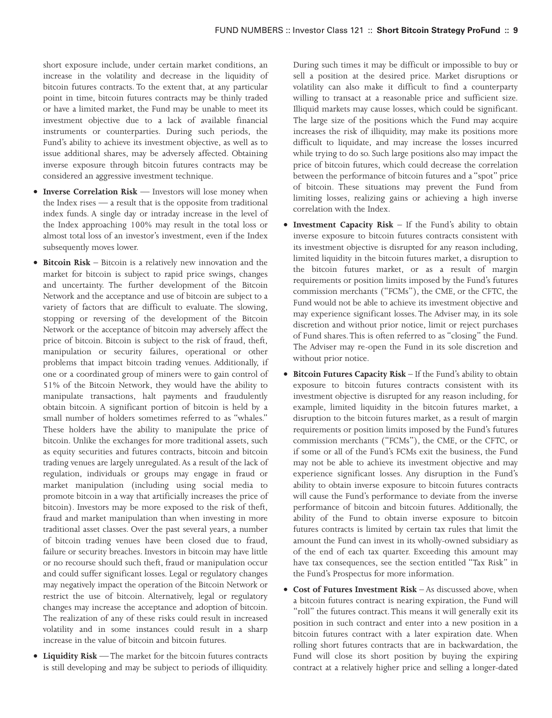short exposure include, under certain market conditions, an increase in the volatility and decrease in the liquidity of bitcoin futures contracts. To the extent that, at any particular point in time, bitcoin futures contracts may be thinly traded or have a limited market, the Fund may be unable to meet its investment objective due to a lack of available financial instruments or counterparties. During such periods, the Fund's ability to achieve its investment objective, as well as to issue additional shares, may be adversely affected. Obtaining inverse exposure through bitcoin futures contracts may be considered an aggressive investment technique.

- **Inverse Correlation Risk** Investors will lose money when the Index rises — a result that is the opposite from traditional index funds. A single day or intraday increase in the level of the Index approaching 100% may result in the total loss or almost total loss of an investor's investment, even if the Index subsequently moves lower.
- **Bitcoin Risk** Bitcoin is a relatively new innovation and the market for bitcoin is subject to rapid price swings, changes and uncertainty. The further development of the Bitcoin Network and the acceptance and use of bitcoin are subject to a variety of factors that are difficult to evaluate. The slowing, stopping or reversing of the development of the Bitcoin Network or the acceptance of bitcoin may adversely affect the price of bitcoin. Bitcoin is subject to the risk of fraud, theft, manipulation or security failures, operational or other problems that impact bitcoin trading venues. Additionally, if one or a coordinated group of miners were to gain control of 51% of the Bitcoin Network, they would have the ability to manipulate transactions, halt payments and fraudulently obtain bitcoin. A significant portion of bitcoin is held by a small number of holders sometimes referred to as "whales." These holders have the ability to manipulate the price of bitcoin. Unlike the exchanges for more traditional assets, such as equity securities and futures contracts, bitcoin and bitcoin trading venues are largely unregulated. As a result of the lack of regulation, individuals or groups may engage in fraud or market manipulation (including using social media to promote bitcoin in a way that artificially increases the price of bitcoin). Investors may be more exposed to the risk of theft, fraud and market manipulation than when investing in more traditional asset classes. Over the past several years, a number of bitcoin trading venues have been closed due to fraud, failure or security breaches. Investors in bitcoin may have little or no recourse should such theft, fraud or manipulation occur and could suffer significant losses. Legal or regulatory changes may negatively impact the operation of the Bitcoin Network or restrict the use of bitcoin. Alternatively, legal or regulatory changes may increase the acceptance and adoption of bitcoin. The realization of any of these risks could result in increased volatility and in some instances could result in a sharp increase in the value of bitcoin and bitcoin futures.
- **Liquidity Risk** The market for the bitcoin futures contracts is still developing and may be subject to periods of illiquidity.

During such times it may be difficult or impossible to buy or sell a position at the desired price. Market disruptions or volatility can also make it difficult to find a counterparty willing to transact at a reasonable price and sufficient size. Illiquid markets may cause losses, which could be significant. The large size of the positions which the Fund may acquire increases the risk of illiquidity, may make its positions more difficult to liquidate, and may increase the losses incurred while trying to do so. Such large positions also may impact the price of bitcoin futures, which could decrease the correlation between the performance of bitcoin futures and a "spot" price of bitcoin. These situations may prevent the Fund from limiting losses, realizing gains or achieving a high inverse correlation with the Index.

- **Investment Capacity Risk** If the Fund's ability to obtain inverse exposure to bitcoin futures contracts consistent with its investment objective is disrupted for any reason including, limited liquidity in the bitcoin futures market, a disruption to the bitcoin futures market, or as a result of margin requirements or position limits imposed by the Fund's futures commission merchants ("FCMs"), the CME, or the CFTC, the Fund would not be able to achieve its investment objective and may experience significant losses. The Adviser may, in its sole discretion and without prior notice, limit or reject purchases of Fund shares. This is often referred to as "closing" the Fund. The Adviser may re-open the Fund in its sole discretion and without prior notice.
- **Bitcoin Futures Capacity Risk** If the Fund's ability to obtain exposure to bitcoin futures contracts consistent with its investment objective is disrupted for any reason including, for example, limited liquidity in the bitcoin futures market, a disruption to the bitcoin futures market, as a result of margin requirements or position limits imposed by the Fund's futures commission merchants ("FCMs"), the CME, or the CFTC, or if some or all of the Fund's FCMs exit the business, the Fund may not be able to achieve its investment objective and may experience significant losses. Any disruption in the Fund's ability to obtain inverse exposure to bitcoin futures contracts will cause the Fund's performance to deviate from the inverse performance of bitcoin and bitcoin futures. Additionally, the ability of the Fund to obtain inverse exposure to bitcoin futures contracts is limited by certain tax rules that limit the amount the Fund can invest in its wholly-owned subsidiary as of the end of each tax quarter. Exceeding this amount may have tax consequences, see the section entitled "Tax Risk" in the Fund's Prospectus for more information.
- **Cost of Futures Investment Risk** As discussed above, when a bitcoin futures contract is nearing expiration, the Fund will "roll" the futures contract. This means it will generally exit its position in such contract and enter into a new position in a bitcoin futures contract with a later expiration date. When rolling short futures contracts that are in backwardation, the Fund will close its short position by buying the expiring contract at a relatively higher price and selling a longer-dated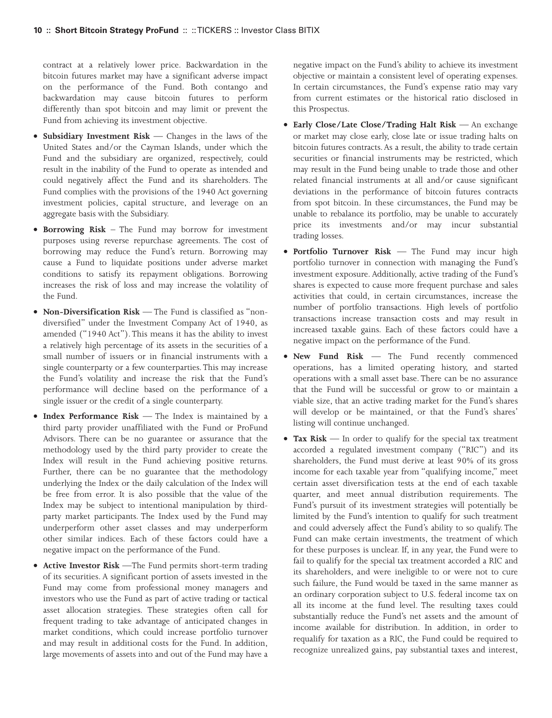contract at a relatively lower price. Backwardation in the bitcoin futures market may have a significant adverse impact on the performance of the Fund. Both contango and backwardation may cause bitcoin futures to perform differently than spot bitcoin and may limit or prevent the Fund from achieving its investment objective.

- **Subsidiary Investment Risk** Changes in the laws of the United States and/or the Cayman Islands, under which the Fund and the subsidiary are organized, respectively, could result in the inability of the Fund to operate as intended and could negatively affect the Fund and its shareholders. The Fund complies with the provisions of the 1940 Act governing investment policies, capital structure, and leverage on an aggregate basis with the Subsidiary.
- **Borrowing Risk** The Fund may borrow for investment purposes using reverse repurchase agreements. The cost of borrowing may reduce the Fund's return. Borrowing may cause a Fund to liquidate positions under adverse market conditions to satisfy its repayment obligations. Borrowing increases the risk of loss and may increase the volatility of the Fund.
- **Non-Diversification Risk** The Fund is classified as "nondiversified" under the Investment Company Act of 1940, as amended ("1940 Act"). This means it has the ability to invest a relatively high percentage of its assets in the securities of a small number of issuers or in financial instruments with a single counterparty or a few counterparties. This may increase the Fund's volatility and increase the risk that the Fund's performance will decline based on the performance of a single issuer or the credit of a single counterparty.
- **Index Performance Risk** The Index is maintained by a third party provider unaffiliated with the Fund or ProFund Advisors. There can be no guarantee or assurance that the methodology used by the third party provider to create the Index will result in the Fund achieving positive returns. Further, there can be no guarantee that the methodology underlying the Index or the daily calculation of the Index will be free from error. It is also possible that the value of the Index may be subject to intentional manipulation by thirdparty market participants. The Index used by the Fund may underperform other asset classes and may underperform other similar indices. Each of these factors could have a negative impact on the performance of the Fund.
- **Active Investor Risk** —The Fund permits short-term trading of its securities. A significant portion of assets invested in the Fund may come from professional money managers and investors who use the Fund as part of active trading or tactical asset allocation strategies. These strategies often call for frequent trading to take advantage of anticipated changes in market conditions, which could increase portfolio turnover and may result in additional costs for the Fund. In addition, large movements of assets into and out of the Fund may have a

negative impact on the Fund's ability to achieve its investment objective or maintain a consistent level of operating expenses. In certain circumstances, the Fund's expense ratio may vary from current estimates or the historical ratio disclosed in this Prospectus.

- **Early Close/Late Close/Trading Halt Risk** An exchange or market may close early, close late or issue trading halts on bitcoin futures contracts. As a result, the ability to trade certain securities or financial instruments may be restricted, which may result in the Fund being unable to trade those and other related financial instruments at all and/or cause significant deviations in the performance of bitcoin futures contracts from spot bitcoin. In these circumstances, the Fund may be unable to rebalance its portfolio, may be unable to accurately price its investments and/or may incur substantial trading losses.
- **Portfolio Turnover Risk** The Fund may incur high portfolio turnover in connection with managing the Fund's investment exposure. Additionally, active trading of the Fund's shares is expected to cause more frequent purchase and sales activities that could, in certain circumstances, increase the number of portfolio transactions. High levels of portfolio transactions increase transaction costs and may result in increased taxable gains. Each of these factors could have a negative impact on the performance of the Fund.
- **New Fund Risk** The Fund recently commenced operations, has a limited operating history, and started operations with a small asset base. There can be no assurance that the Fund will be successful or grow to or maintain a viable size, that an active trading market for the Fund's shares will develop or be maintained, or that the Fund's shares' listing will continue unchanged.
- **Tax Risk** In order to qualify for the special tax treatment accorded a regulated investment company ("RIC") and its shareholders, the Fund must derive at least 90% of its gross income for each taxable year from "qualifying income," meet certain asset diversification tests at the end of each taxable quarter, and meet annual distribution requirements. The Fund's pursuit of its investment strategies will potentially be limited by the Fund's intention to qualify for such treatment and could adversely affect the Fund's ability to so qualify. The Fund can make certain investments, the treatment of which for these purposes is unclear. If, in any year, the Fund were to fail to qualify for the special tax treatment accorded a RIC and its shareholders, and were ineligible to or were not to cure such failure, the Fund would be taxed in the same manner as an ordinary corporation subject to U.S. federal income tax on all its income at the fund level. The resulting taxes could substantially reduce the Fund's net assets and the amount of income available for distribution. In addition, in order to requalify for taxation as a RIC, the Fund could be required to recognize unrealized gains, pay substantial taxes and interest,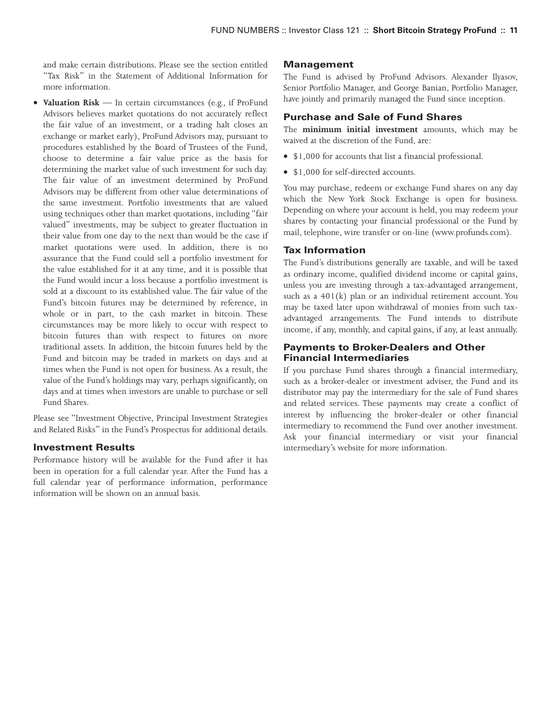and make certain distributions. Please see the section entitled "Tax Risk" in the Statement of Additional Information for more information.

• **Valuation Risk** — In certain circumstances (e.g., if ProFund Advisors believes market quotations do not accurately reflect the fair value of an investment, or a trading halt closes an exchange or market early), ProFund Advisors may, pursuant to procedures established by the Board of Trustees of the Fund, choose to determine a fair value price as the basis for determining the market value of such investment for such day. The fair value of an investment determined by ProFund Advisors may be different from other value determinations of the same investment. Portfolio investments that are valued using techniques other than market quotations, including "fair valued" investments, may be subject to greater fluctuation in their value from one day to the next than would be the case if market quotations were used. In addition, there is no assurance that the Fund could sell a portfolio investment for the value established for it at any time, and it is possible that the Fund would incur a loss because a portfolio investment is sold at a discount to its established value. The fair value of the Fund's bitcoin futures may be determined by reference, in whole or in part, to the cash market in bitcoin. These circumstances may be more likely to occur with respect to bitcoin futures than with respect to futures on more traditional assets. In addition, the bitcoin futures held by the Fund and bitcoin may be traded in markets on days and at times when the Fund is not open for business. As a result, the value of the Fund's holdings may vary, perhaps significantly, on days and at times when investors are unable to purchase or sell Fund Shares.

Please see "Investment Objective, Principal Investment Strategies and Related Risks" in the Fund's Prospectus for additional details.

#### **Investment Results**

Performance history will be available for the Fund after it has been in operation for a full calendar year. After the Fund has a full calendar year of performance information, performance information will be shown on an annual basis.

#### **Management**

The Fund is advised by ProFund Advisors. Alexander Ilyasov, Senior Portfolio Manager, and George Banian, Portfolio Manager, have jointly and primarily managed the Fund since inception.

# **Purchase and Sale of Fund Shares**

The **minimum initial investment** amounts, which may be waived at the discretion of the Fund, are:

- \$1,000 for accounts that list a financial professional.
- \$1,000 for self-directed accounts.

You may purchase, redeem or exchange Fund shares on any day which the New York Stock Exchange is open for business. Depending on where your account is held, you may redeem your shares by contacting your financial professional or the Fund by mail, telephone, wire transfer or on-line (www.profunds.com).

#### **Tax Information**

The Fund's distributions generally are taxable, and will be taxed as ordinary income, qualified dividend income or capital gains, unless you are investing through a tax-advantaged arrangement, such as a 401(k) plan or an individual retirement account. You may be taxed later upon withdrawal of monies from such taxadvantaged arrangements. The Fund intends to distribute income, if any, monthly, and capital gains, if any, at least annually.

## **Payments to Broker-Dealers and Other Financial Intermediaries**

If you purchase Fund shares through a financial intermediary, such as a broker-dealer or investment adviser, the Fund and its distributor may pay the intermediary for the sale of Fund shares and related services. These payments may create a conflict of interest by influencing the broker-dealer or other financial intermediary to recommend the Fund over another investment. Ask your financial intermediary or visit your financial intermediary's website for more information.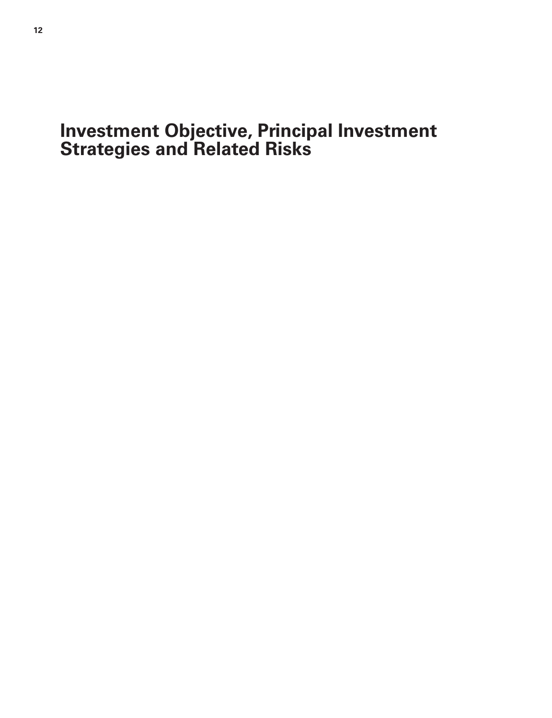# <span id="page-11-0"></span>**Investment Objective, Principal Investment Strategies and Related Risks**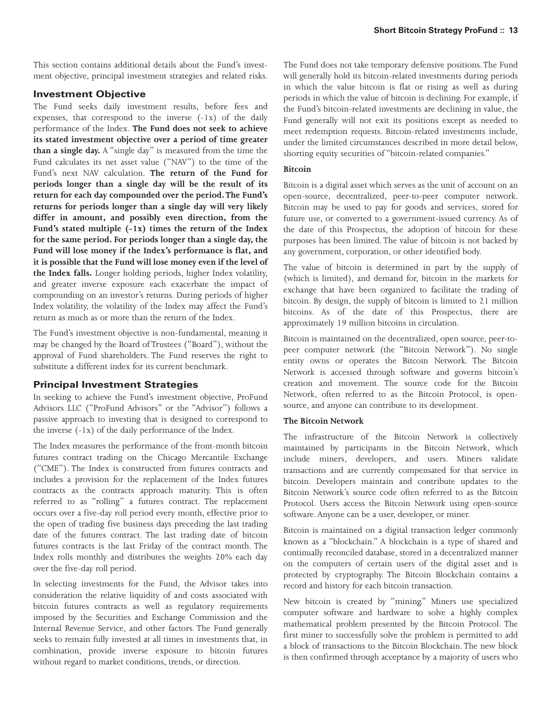This section contains additional details about the Fund's investment objective, principal investment strategies and related risks.

# **Investment Objective**

The Fund seeks daily investment results, before fees and expenses, that correspond to the inverse (-1x) of the daily performance of the Index. **The Fund does not seek to achieve its stated investment objective over a period of time greater than a single day.** A "single day" is measured from the time the Fund calculates its net asset value ("NAV") to the time of the Fund's next NAV calculation. **The return of the Fund for periods longer than a single day will be the result of its return for each day compounded over the period.The Fund's returns for periods longer than a single day will very likely differ in amount, and possibly even direction, from the Fund's stated multiple (-1x) times the return of the Index for the same period. For periods longer than a single day, the Fund will lose money if the Index's performance is flat, and it is possible that the Fund will lose money even if the level of the Index falls.** Longer holding periods, higher Index volatility, and greater inverse exposure each exacerbate the impact of compounding on an investor's returns. During periods of higher Index volatility, the volatility of the Index may affect the Fund's return as much as or more than the return of the Index.

The Fund's investment objective is non-fundamental, meaning it may be changed by the Board of Trustees ("Board"), without the approval of Fund shareholders. The Fund reserves the right to substitute a different index for its current benchmark.

# **Principal Investment Strategies**

In seeking to achieve the Fund's investment objective, ProFund Advisors LLC ("ProFund Advisors" or the "Advisor") follows a passive approach to investing that is designed to correspond to the inverse (-1x) of the daily performance of the Index.

The Index measures the performance of the front-month bitcoin futures contract trading on the Chicago Mercantile Exchange ("CME"). The Index is constructed from futures contracts and includes a provision for the replacement of the Index futures contracts as the contracts approach maturity. This is often referred to as "rolling" a futures contract. The replacement occurs over a five-day roll period every month, effective prior to the open of trading five business days preceding the last trading date of the futures contract. The last trading date of bitcoin futures contracts is the last Friday of the contract month. The Index rolls monthly and distributes the weights 20% each day over the five-day roll period.

In selecting investments for the Fund, the Advisor takes into consideration the relative liquidity of and costs associated with bitcoin futures contracts as well as regulatory requirements imposed by the Securities and Exchange Commission and the Internal Revenue Service, and other factors. The Fund generally seeks to remain fully invested at all times in investments that, in combination, provide inverse exposure to bitcoin futures without regard to market conditions, trends, or direction.

The Fund does not take temporary defensive positions.The Fund will generally hold its bitcoin-related investments during periods in which the value bitcoin is flat or rising as well as during periods in which the value of bitcoin is declining. For example, if the Fund's bitcoin-related investments are declining in value, the Fund generally will not exit its positions except as needed to meet redemption requests. Bitcoin-related investments include, under the limited circumstances described in more detail below, shorting equity securities of "bitcoin-related companies."

#### **Bitcoin**

Bitcoin is a digital asset which serves as the unit of account on an open-source, decentralized, peer-to-peer computer network. Bitcoin may be used to pay for goods and services, stored for future use, or converted to a government-issued currency. As of the date of this Prospectus, the adoption of bitcoin for these purposes has been limited. The value of bitcoin is not backed by any government, corporation, or other identified body.

The value of bitcoin is determined in part by the supply of (which is limited), and demand for, bitcoin in the markets for exchange that have been organized to facilitate the trading of bitcoin. By design, the supply of bitcoin is limited to 21 million bitcoins. As of the date of this Prospectus, there are approximately 19 million bitcoins in circulation.

Bitcoin is maintained on the decentralized, open source, peer-topeer computer network (the "Bitcoin Network"). No single entity owns or operates the Bitcoin Network. The Bitcoin Network is accessed through software and governs bitcoin's creation and movement. The source code for the Bitcoin Network, often referred to as the Bitcoin Protocol, is opensource, and anyone can contribute to its development.

#### **The Bitcoin Network**

The infrastructure of the Bitcoin Network is collectively maintained by participants in the Bitcoin Network, which include miners, developers, and users. Miners validate transactions and are currently compensated for that service in bitcoin. Developers maintain and contribute updates to the Bitcoin Network's source code often referred to as the Bitcoin Protocol. Users access the Bitcoin Network using open-source software. Anyone can be a user, developer, or miner.

Bitcoin is maintained on a digital transaction ledger commonly known as a "blockchain." A blockchain is a type of shared and continually reconciled database, stored in a decentralized manner on the computers of certain users of the digital asset and is protected by cryptography. The Bitcoin Blockchain contains a record and history for each bitcoin transaction.

New bitcoin is created by "mining." Miners use specialized computer software and hardware to solve a highly complex mathematical problem presented by the Bitcoin Protocol. The first miner to successfully solve the problem is permitted to add a block of transactions to the Bitcoin Blockchain. The new block is then confirmed through acceptance by a majority of users who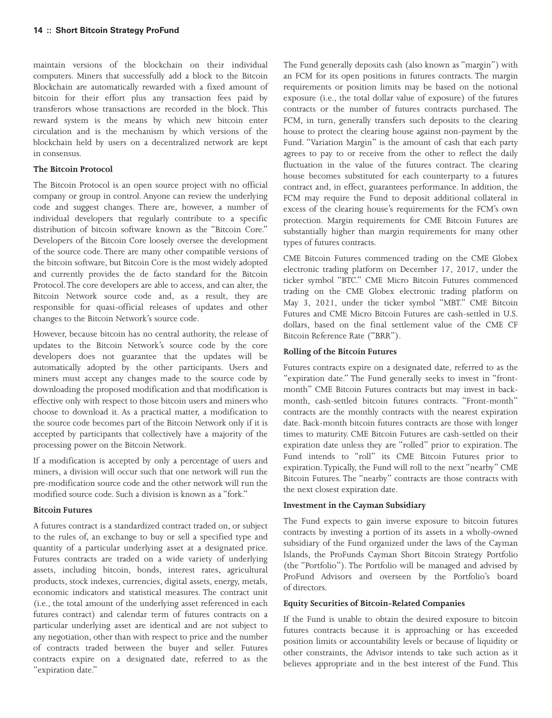maintain versions of the blockchain on their individual computers. Miners that successfully add a block to the Bitcoin Blockchain are automatically rewarded with a fixed amount of bitcoin for their effort plus any transaction fees paid by transferors whose transactions are recorded in the block. This reward system is the means by which new bitcoin enter circulation and is the mechanism by which versions of the blockchain held by users on a decentralized network are kept in consensus.

#### **The Bitcoin Protocol**

The Bitcoin Protocol is an open source project with no official company or group in control. Anyone can review the underlying code and suggest changes. There are, however, a number of individual developers that regularly contribute to a specific distribution of bitcoin software known as the "Bitcoin Core." Developers of the Bitcoin Core loosely oversee the development of the source code. There are many other compatible versions of the bitcoin software, but Bitcoin Core is the most widely adopted and currently provides the de facto standard for the Bitcoin Protocol.The core developers are able to access, and can alter, the Bitcoin Network source code and, as a result, they are responsible for quasi-official releases of updates and other changes to the Bitcoin Network's source code.

However, because bitcoin has no central authority, the release of updates to the Bitcoin Network's source code by the core developers does not guarantee that the updates will be automatically adopted by the other participants. Users and miners must accept any changes made to the source code by downloading the proposed modification and that modification is effective only with respect to those bitcoin users and miners who choose to download it. As a practical matter, a modification to the source code becomes part of the Bitcoin Network only if it is accepted by participants that collectively have a majority of the processing power on the Bitcoin Network.

If a modification is accepted by only a percentage of users and miners, a division will occur such that one network will run the pre-modification source code and the other network will run the modified source code. Such a division is known as a "fork."

#### **Bitcoin Futures**

A futures contract is a standardized contract traded on, or subject to the rules of, an exchange to buy or sell a specified type and quantity of a particular underlying asset at a designated price. Futures contracts are traded on a wide variety of underlying assets, including bitcoin, bonds, interest rates, agricultural products, stock indexes, currencies, digital assets, energy, metals, economic indicators and statistical measures. The contract unit (i.e., the total amount of the underlying asset referenced in each futures contract) and calendar term of futures contracts on a particular underlying asset are identical and are not subject to any negotiation, other than with respect to price and the number of contracts traded between the buyer and seller. Futures contracts expire on a designated date, referred to as the "expiration date."

The Fund generally deposits cash (also known as "margin") with an FCM for its open positions in futures contracts. The margin requirements or position limits may be based on the notional exposure (i.e., the total dollar value of exposure) of the futures contracts or the number of futures contracts purchased. The FCM, in turn, generally transfers such deposits to the clearing house to protect the clearing house against non-payment by the Fund. "Variation Margin" is the amount of cash that each party agrees to pay to or receive from the other to reflect the daily fluctuation in the value of the futures contract. The clearing house becomes substituted for each counterparty to a futures contract and, in effect, guarantees performance. In addition, the FCM may require the Fund to deposit additional collateral in excess of the clearing house's requirements for the FCM's own protection. Margin requirements for CME Bitcoin Futures are substantially higher than margin requirements for many other types of futures contracts.

CME Bitcoin Futures commenced trading on the CME Globex electronic trading platform on December 17, 2017, under the ticker symbol "BTC." CME Micro Bitcoin Futures commenced trading on the CME Globex electronic trading platform on May 3, 2021, under the ticker symbol "MBT." CME Bitcoin Futures and CME Micro Bitcoin Futures are cash-settled in U.S. dollars, based on the final settlement value of the CME CF Bitcoin Reference Rate ("BRR").

#### **Rolling of the Bitcoin Futures**

Futures contracts expire on a designated date, referred to as the "expiration date." The Fund generally seeks to invest in "frontmonth" CME Bitcoin Futures contracts but may invest in backmonth, cash-settled bitcoin futures contracts. "Front-month" contracts are the monthly contracts with the nearest expiration date. Back-month bitcoin futures contracts are those with longer times to maturity. CME Bitcoin Futures are cash-settled on their expiration date unless they are "rolled" prior to expiration. The Fund intends to "roll" its CME Bitcoin Futures prior to expiration. Typically, the Fund will roll to the next "nearby" CME Bitcoin Futures. The "nearby" contracts are those contracts with the next closest expiration date.

#### **Investment in the Cayman Subsidiary**

The Fund expects to gain inverse exposure to bitcoin futures contracts by investing a portion of its assets in a wholly-owned subsidiary of the Fund organized under the laws of the Cayman Islands, the ProFunds Cayman Short Bitcoin Strategy Portfolio (the "Portfolio"). The Portfolio will be managed and advised by ProFund Advisors and overseen by the Portfolio's board of directors.

#### **Equity Securities of Bitcoin-Related Companies**

If the Fund is unable to obtain the desired exposure to bitcoin futures contracts because it is approaching or has exceeded position limits or accountability levels or because of liquidity or other constraints, the Advisor intends to take such action as it believes appropriate and in the best interest of the Fund. This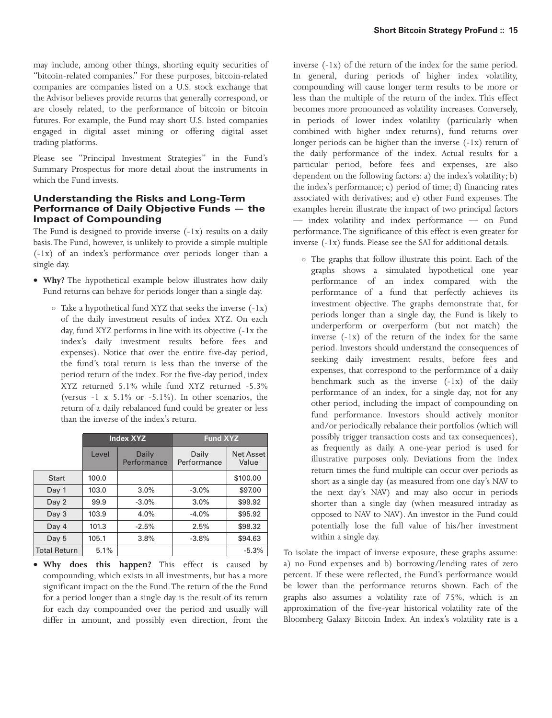may include, among other things, shorting equity securities of "bitcoin-related companies." For these purposes, bitcoin-related companies are companies listed on a U.S. stock exchange that the Advisor believes provide returns that generally correspond, or are closely related, to the performance of bitcoin or bitcoin futures. For example, the Fund may short U.S. listed companies engaged in digital asset mining or offering digital asset trading platforms.

Please see "Principal Investment Strategies" in the Fund's Summary Prospectus for more detail about the instruments in which the Fund invests.

#### **Understanding the Risks and Long-Term Performance of Daily Objective Funds — the Impact of Compounding**

The Fund is designed to provide inverse  $(-1x)$  results on a daily basis.The Fund, however, is unlikely to provide a simple multiple (-1x) of an index's performance over periods longer than a single day.

- **Why?** The hypothetical example below illustrates how daily Fund returns can behave for periods longer than a single day.
	- Take a hypothetical fund XYZ that seeks the inverse (-1x) of the daily investment results of index XYZ. On each day, fund XYZ performs in line with its objective (-1x the index's daily investment results before fees and expenses). Notice that over the entire five-day period, the fund's total return is less than the inverse of the period return of the index. For the five-day period, index XYZ returned 5.1% while fund XYZ returned -5.3% (versus -1 x 5.1% or -5.1%). In other scenarios, the return of a daily rebalanced fund could be greater or less than the inverse of the index's return.

|                     | <b>Index XYZ</b> |                      | <b>Fund XYZ</b>      |                           |
|---------------------|------------------|----------------------|----------------------|---------------------------|
|                     | Level            | Daily<br>Performance | Daily<br>Performance | <b>Net Asset</b><br>Value |
| Start               | 100.0            |                      |                      | \$100.00                  |
| Day 1               | 103.0            | 3.0%                 | $-3.0\%$             | \$97.00                   |
| Day 2               | 99.9             | $-3.0%$              | 3.0%                 | \$99.92                   |
| Day <sub>3</sub>    | 103.9            | 4.0%                 | $-4.0%$              | \$95.92                   |
| Day 4               | 101.3            | $-2.5%$              | 2.5%                 | \$98.32                   |
| Day 5               | 105.1            | 3.8%                 | $-3.8%$              | \$94.63                   |
| <b>Total Return</b> | 5.1%             |                      |                      | $-5.3%$                   |

• **Why does this happen?** This effect is caused by compounding, which exists in all investments, but has a more significant impact on the the Fund.The return of the the Fund for a period longer than a single day is the result of its return for each day compounded over the period and usually will differ in amount, and possibly even direction, from the inverse (-1x) of the return of the index for the same period. In general, during periods of higher index volatility, compounding will cause longer term results to be more or less than the multiple of the return of the index. This effect becomes more pronounced as volatility increases. Conversely, in periods of lower index volatility (particularly when combined with higher index returns), fund returns over longer periods can be higher than the inverse (-1x) return of the daily performance of the index. Actual results for a particular period, before fees and expenses, are also dependent on the following factors: a) the index's volatility; b) the index's performance; c) period of time; d) financing rates associated with derivatives; and e) other Fund expenses. The examples herein illustrate the impact of two principal factors — index volatility and index performance — on Fund performance. The significance of this effect is even greater for inverse (-1x) funds. Please see the SAI for additional details.

- The graphs that follow illustrate this point. Each of the graphs shows a simulated hypothetical one year performance of an index compared with the performance of a fund that perfectly achieves its investment objective. The graphs demonstrate that, for periods longer than a single day, the Fund is likely to underperform or overperform (but not match) the inverse  $(-1x)$  of the return of the index for the same period. Investors should understand the consequences of seeking daily investment results, before fees and expenses, that correspond to the performance of a daily benchmark such as the inverse (-1x) of the daily performance of an index, for a single day, not for any other period, including the impact of compounding on fund performance. Investors should actively monitor and/or periodically rebalance their portfolios (which will possibly trigger transaction costs and tax consequences), as frequently as daily. A one-year period is used for illustrative purposes only. Deviations from the index return times the fund multiple can occur over periods as short as a single day (as measured from one day's NAV to the next day's NAV) and may also occur in periods shorter than a single day (when measured intraday as opposed to NAV to NAV). An investor in the Fund could potentially lose the full value of his/her investment within a single day.

To isolate the impact of inverse exposure, these graphs assume: a) no Fund expenses and b) borrowing/lending rates of zero percent. If these were reflected, the Fund's performance would be lower than the performance returns shown. Each of the graphs also assumes a volatility rate of 75%, which is an approximation of the five-year historical volatility rate of the Bloomberg Galaxy Bitcoin Index. An index's volatility rate is a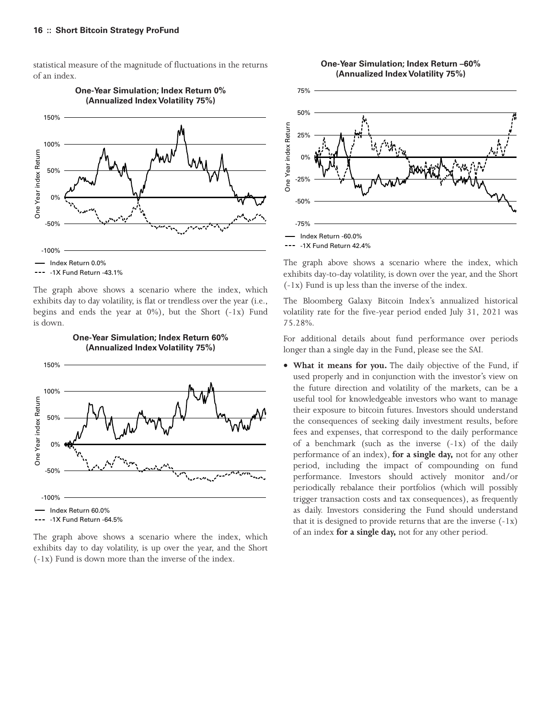statistical measure of the magnitude of fluctuations in the returns of an index.



**One-Year Simulation; Index Return 0% (Annualized Index Volatility 75%)**

The graph above shows a scenario where the index, which exhibits day to day volatility, is flat or trendless over the year (i.e., begins and ends the year at  $0\%$ ), but the Short  $(-1x)$  Fund is down.



The graph above shows a scenario where the index, which exhibits day to day volatility, is up over the year, and the Short

(-1x) Fund is down more than the inverse of the index.



75%



The graph above shows a scenario where the index, which exhibits day-to-day volatility, is down over the year, and the Short (-1x) Fund is up less than the inverse of the index.

The Bloomberg Galaxy Bitcoin Index's annualized historical volatility rate for the five-year period ended July 31, 2021 was 75.28%.

For additional details about fund performance over periods longer than a single day in the Fund, please see the SAI.

• **What it means for you.** The daily objective of the Fund, if used properly and in conjunction with the investor's view on the future direction and volatility of the markets, can be a useful tool for knowledgeable investors who want to manage their exposure to bitcoin futures. Investors should understand the consequences of seeking daily investment results, before fees and expenses, that correspond to the daily performance of a benchmark (such as the inverse (-1x) of the daily performance of an index), **for a single day,** not for any other period, including the impact of compounding on fund performance. Investors should actively monitor and/or periodically rebalance their portfolios (which will possibly trigger transaction costs and tax consequences), as frequently as daily. Investors considering the Fund should understand that it is designed to provide returns that are the inverse  $(-1x)$ of an index **for a single day,** not for any other period.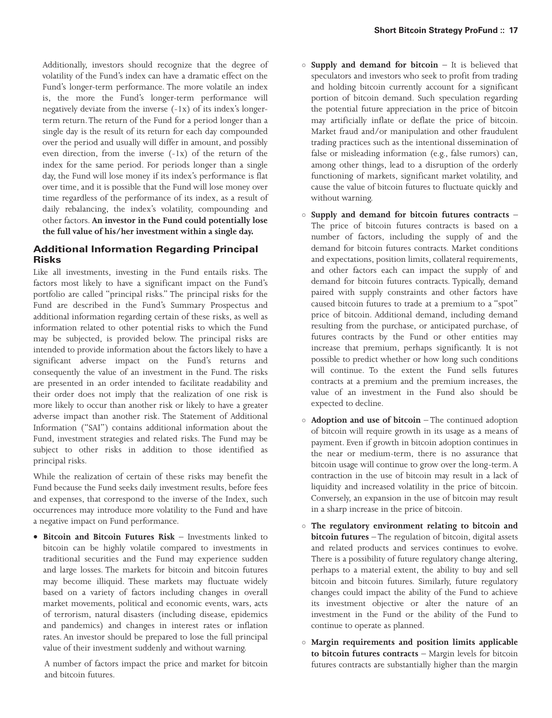Additionally, investors should recognize that the degree of volatility of the Fund's index can have a dramatic effect on the Fund's longer-term performance. The more volatile an index is, the more the Fund's longer-term performance will negatively deviate from the inverse (-1x) of its index's longerterm return.The return of the Fund for a period longer than a single day is the result of its return for each day compounded over the period and usually will differ in amount, and possibly even direction, from the inverse (-1x) of the return of the index for the same period. For periods longer than a single day, the Fund will lose money if its index's performance is flat over time, and it is possible that the Fund will lose money over time regardless of the performance of its index, as a result of daily rebalancing, the index's volatility, compounding and other factors. **An investor in the Fund could potentially lose the full value of his/her investment within a single day.**

# **Additional Information Regarding Principal Risks**

Like all investments, investing in the Fund entails risks. The factors most likely to have a significant impact on the Fund's portfolio are called "principal risks." The principal risks for the Fund are described in the Fund's Summary Prospectus and additional information regarding certain of these risks, as well as information related to other potential risks to which the Fund may be subjected, is provided below. The principal risks are intended to provide information about the factors likely to have a significant adverse impact on the Fund's returns and consequently the value of an investment in the Fund. The risks are presented in an order intended to facilitate readability and their order does not imply that the realization of one risk is more likely to occur than another risk or likely to have a greater adverse impact than another risk. The Statement of Additional Information ("SAI") contains additional information about the Fund, investment strategies and related risks. The Fund may be subject to other risks in addition to those identified as principal risks.

While the realization of certain of these risks may benefit the Fund because the Fund seeks daily investment results, before fees and expenses, that correspond to the inverse of the Index, such occurrences may introduce more volatility to the Fund and have a negative impact on Fund performance.

• **Bitcoin and Bitcoin Futures Risk** – Investments linked to bitcoin can be highly volatile compared to investments in traditional securities and the Fund may experience sudden and large losses. The markets for bitcoin and bitcoin futures may become illiquid. These markets may fluctuate widely based on a variety of factors including changes in overall market movements, political and economic events, wars, acts of terrorism, natural disasters (including disease, epidemics and pandemics) and changes in interest rates or inflation rates. An investor should be prepared to lose the full principal value of their investment suddenly and without warning.

A number of factors impact the price and market for bitcoin and bitcoin futures.

- **Supply and demand for bitcoin** It is believed that speculators and investors who seek to profit from trading and holding bitcoin currently account for a significant portion of bitcoin demand. Such speculation regarding the potential future appreciation in the price of bitcoin may artificially inflate or deflate the price of bitcoin. Market fraud and/or manipulation and other fraudulent trading practices such as the intentional dissemination of false or misleading information (e.g., false rumors) can, among other things, lead to a disruption of the orderly functioning of markets, significant market volatility, and cause the value of bitcoin futures to fluctuate quickly and without warning.
- **Supply and demand for bitcoin futures contracts** The price of bitcoin futures contracts is based on a number of factors, including the supply of and the demand for bitcoin futures contracts. Market conditions and expectations, position limits, collateral requirements, and other factors each can impact the supply of and demand for bitcoin futures contracts. Typically, demand paired with supply constraints and other factors have caused bitcoin futures to trade at a premium to a "spot" price of bitcoin. Additional demand, including demand resulting from the purchase, or anticipated purchase, of futures contracts by the Fund or other entities may increase that premium, perhaps significantly. It is not possible to predict whether or how long such conditions will continue. To the extent the Fund sells futures contracts at a premium and the premium increases, the value of an investment in the Fund also should be expected to decline.
- **Adoption and use of bitcoin** The continued adoption of bitcoin will require growth in its usage as a means of payment. Even if growth in bitcoin adoption continues in the near or medium-term, there is no assurance that bitcoin usage will continue to grow over the long-term. A contraction in the use of bitcoin may result in a lack of liquidity and increased volatility in the price of bitcoin. Conversely, an expansion in the use of bitcoin may result in a sharp increase in the price of bitcoin.
- **The regulatory environment relating to bitcoin and bitcoin futures** – The regulation of bitcoin, digital assets and related products and services continues to evolve. There is a possibility of future regulatory change altering, perhaps to a material extent, the ability to buy and sell bitcoin and bitcoin futures. Similarly, future regulatory changes could impact the ability of the Fund to achieve its investment objective or alter the nature of an investment in the Fund or the ability of the Fund to continue to operate as planned.
- **Margin requirements and position limits applicable to bitcoin futures contracts** – Margin levels for bitcoin futures contracts are substantially higher than the margin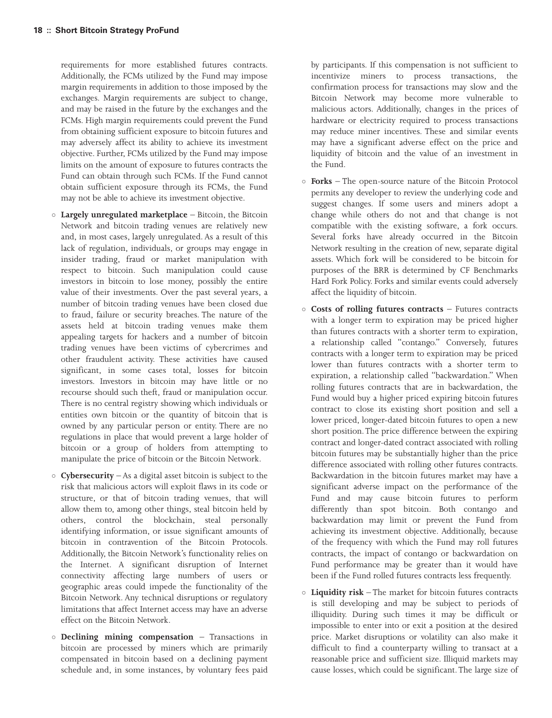requirements for more established futures contracts. Additionally, the FCMs utilized by the Fund may impose margin requirements in addition to those imposed by the exchanges. Margin requirements are subject to change, and may be raised in the future by the exchanges and the FCMs. High margin requirements could prevent the Fund from obtaining sufficient exposure to bitcoin futures and may adversely affect its ability to achieve its investment objective. Further, FCMs utilized by the Fund may impose limits on the amount of exposure to futures contracts the Fund can obtain through such FCMs. If the Fund cannot obtain sufficient exposure through its FCMs, the Fund may not be able to achieve its investment objective.

- **Largely unregulated marketplace** Bitcoin, the Bitcoin Network and bitcoin trading venues are relatively new and, in most cases, largely unregulated. As a result of this lack of regulation, individuals, or groups may engage in insider trading, fraud or market manipulation with respect to bitcoin. Such manipulation could cause investors in bitcoin to lose money, possibly the entire value of their investments. Over the past several years, a number of bitcoin trading venues have been closed due to fraud, failure or security breaches. The nature of the assets held at bitcoin trading venues make them appealing targets for hackers and a number of bitcoin trading venues have been victims of cybercrimes and other fraudulent activity. These activities have caused significant, in some cases total, losses for bitcoin investors. Investors in bitcoin may have little or no recourse should such theft, fraud or manipulation occur. There is no central registry showing which individuals or entities own bitcoin or the quantity of bitcoin that is owned by any particular person or entity. There are no regulations in place that would prevent a large holder of bitcoin or a group of holders from attempting to manipulate the price of bitcoin or the Bitcoin Network.
- **Cybersecurity** As a digital asset bitcoin is subject to the risk that malicious actors will exploit flaws in its code or structure, or that of bitcoin trading venues, that will allow them to, among other things, steal bitcoin held by others, control the blockchain, steal personally identifying information, or issue significant amounts of bitcoin in contravention of the Bitcoin Protocols. Additionally, the Bitcoin Network's functionality relies on the Internet. A significant disruption of Internet connectivity affecting large numbers of users or geographic areas could impede the functionality of the Bitcoin Network. Any technical disruptions or regulatory limitations that affect Internet access may have an adverse effect on the Bitcoin Network.
- **Declining mining compensation** Transactions in bitcoin are processed by miners which are primarily compensated in bitcoin based on a declining payment schedule and, in some instances, by voluntary fees paid

by participants. If this compensation is not sufficient to incentivize miners to process transactions, the confirmation process for transactions may slow and the Bitcoin Network may become more vulnerable to malicious actors. Additionally, changes in the prices of hardware or electricity required to process transactions may reduce miner incentives. These and similar events may have a significant adverse effect on the price and liquidity of bitcoin and the value of an investment in the Fund.

- **Forks** The open-source nature of the Bitcoin Protocol permits any developer to review the underlying code and suggest changes. If some users and miners adopt a change while others do not and that change is not compatible with the existing software, a fork occurs. Several forks have already occurred in the Bitcoin Network resulting in the creation of new, separate digital assets. Which fork will be considered to be bitcoin for purposes of the BRR is determined by CF Benchmarks Hard Fork Policy. Forks and similar events could adversely affect the liquidity of bitcoin.
- **Costs of rolling futures contracts** Futures contracts with a longer term to expiration may be priced higher than futures contracts with a shorter term to expiration, a relationship called "contango." Conversely, futures contracts with a longer term to expiration may be priced lower than futures contracts with a shorter term to expiration, a relationship called "backwardation." When rolling futures contracts that are in backwardation, the Fund would buy a higher priced expiring bitcoin futures contract to close its existing short position and sell a lower priced, longer-dated bitcoin futures to open a new short position.The price difference between the expiring contract and longer-dated contract associated with rolling bitcoin futures may be substantially higher than the price difference associated with rolling other futures contracts. Backwardation in the bitcoin futures market may have a significant adverse impact on the performance of the Fund and may cause bitcoin futures to perform differently than spot bitcoin. Both contango and backwardation may limit or prevent the Fund from achieving its investment objective. Additionally, because of the frequency with which the Fund may roll futures contracts, the impact of contango or backwardation on Fund performance may be greater than it would have been if the Fund rolled futures contracts less frequently.
- **Liquidity risk** The market for bitcoin futures contracts is still developing and may be subject to periods of illiquidity. During such times it may be difficult or impossible to enter into or exit a position at the desired price. Market disruptions or volatility can also make it difficult to find a counterparty willing to transact at a reasonable price and sufficient size. Illiquid markets may cause losses, which could be significant. The large size of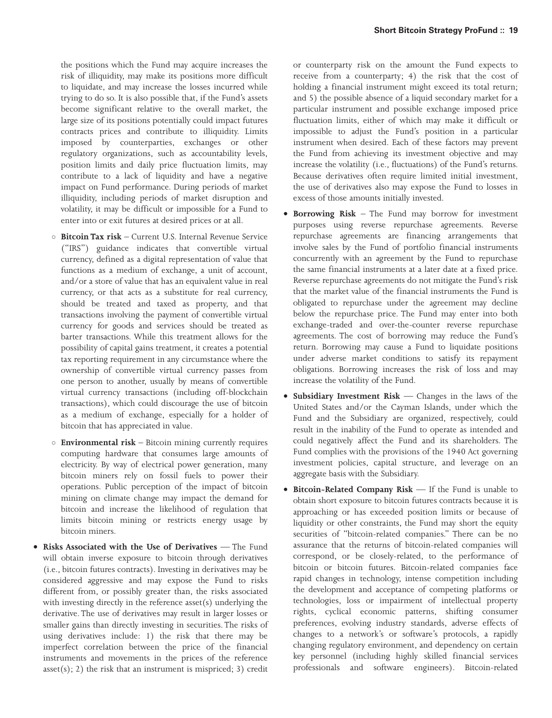the positions which the Fund may acquire increases the risk of illiquidity, may make its positions more difficult to liquidate, and may increase the losses incurred while trying to do so. It is also possible that, if the Fund's assets become significant relative to the overall market, the large size of its positions potentially could impact futures contracts prices and contribute to illiquidity. Limits imposed by counterparties, exchanges or other regulatory organizations, such as accountability levels, position limits and daily price fluctuation limits, may contribute to a lack of liquidity and have a negative impact on Fund performance. During periods of market illiquidity, including periods of market disruption and volatility, it may be difficult or impossible for a Fund to enter into or exit futures at desired prices or at all.

- **Bitcoin Tax risk** Current U.S. Internal Revenue Service ("IRS") guidance indicates that convertible virtual currency, defined as a digital representation of value that functions as a medium of exchange, a unit of account, and/or a store of value that has an equivalent value in real currency, or that acts as a substitute for real currency, should be treated and taxed as property, and that transactions involving the payment of convertible virtual currency for goods and services should be treated as barter transactions. While this treatment allows for the possibility of capital gains treatment, it creates a potential tax reporting requirement in any circumstance where the ownership of convertible virtual currency passes from one person to another, usually by means of convertible virtual currency transactions (including off-blockchain transactions), which could discourage the use of bitcoin as a medium of exchange, especially for a holder of bitcoin that has appreciated in value.
- **Environmental risk** Bitcoin mining currently requires computing hardware that consumes large amounts of electricity. By way of electrical power generation, many bitcoin miners rely on fossil fuels to power their operations. Public perception of the impact of bitcoin mining on climate change may impact the demand for bitcoin and increase the likelihood of regulation that limits bitcoin mining or restricts energy usage by bitcoin miners.
- **Risks Associated with the Use of Derivatives** The Fund will obtain inverse exposure to bitcoin through derivatives (i.e., bitcoin futures contracts). Investing in derivatives may be considered aggressive and may expose the Fund to risks different from, or possibly greater than, the risks associated with investing directly in the reference asset(s) underlying the derivative. The use of derivatives may result in larger losses or smaller gains than directly investing in securities. The risks of using derivatives include: 1) the risk that there may be imperfect correlation between the price of the financial instruments and movements in the prices of the reference  $asset(s); 2)$  the risk that an instrument is mispriced; 3) credit

or counterparty risk on the amount the Fund expects to receive from a counterparty; 4) the risk that the cost of holding a financial instrument might exceed its total return; and 5) the possible absence of a liquid secondary market for a particular instrument and possible exchange imposed price fluctuation limits, either of which may make it difficult or impossible to adjust the Fund's position in a particular instrument when desired. Each of these factors may prevent the Fund from achieving its investment objective and may increase the volatility (i.e., fluctuations) of the Fund's returns. Because derivatives often require limited initial investment, the use of derivatives also may expose the Fund to losses in excess of those amounts initially invested.

- **Borrowing Risk** The Fund may borrow for investment purposes using reverse repurchase agreements. Reverse repurchase agreements are financing arrangements that involve sales by the Fund of portfolio financial instruments concurrently with an agreement by the Fund to repurchase the same financial instruments at a later date at a fixed price. Reverse repurchase agreements do not mitigate the Fund's risk that the market value of the financial instruments the Fund is obligated to repurchase under the agreement may decline below the repurchase price. The Fund may enter into both exchange-traded and over-the-counter reverse repurchase agreements. The cost of borrowing may reduce the Fund's return. Borrowing may cause a Fund to liquidate positions under adverse market conditions to satisfy its repayment obligations. Borrowing increases the risk of loss and may increase the volatility of the Fund.
- **Subsidiary Investment Risk** Changes in the laws of the United States and/or the Cayman Islands, under which the Fund and the Subsidiary are organized, respectively, could result in the inability of the Fund to operate as intended and could negatively affect the Fund and its shareholders. The Fund complies with the provisions of the 1940 Act governing investment policies, capital structure, and leverage on an aggregate basis with the Subsidiary.
- **Bitcoin-Related Company Risk** If the Fund is unable to obtain short exposure to bitcoin futures contracts because it is approaching or has exceeded position limits or because of liquidity or other constraints, the Fund may short the equity securities of "bitcoin-related companies." There can be no assurance that the returns of bitcoin-related companies will correspond, or be closely-related, to the performance of bitcoin or bitcoin futures. Bitcoin-related companies face rapid changes in technology, intense competition including the development and acceptance of competing platforms or technologies, loss or impairment of intellectual property rights, cyclical economic patterns, shifting consumer preferences, evolving industry standards, adverse effects of changes to a network's or software's protocols, a rapidly changing regulatory environment, and dependency on certain key personnel (including highly skilled financial services professionals and software engineers). Bitcoin-related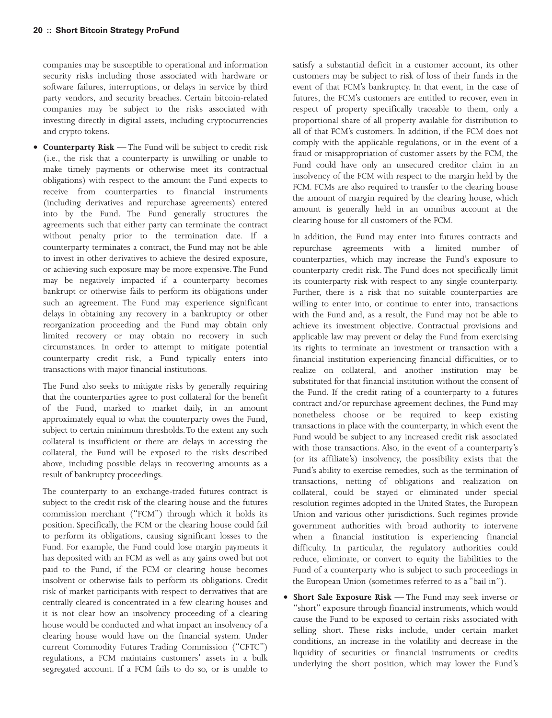companies may be susceptible to operational and information security risks including those associated with hardware or software failures, interruptions, or delays in service by third party vendors, and security breaches. Certain bitcoin-related companies may be subject to the risks associated with investing directly in digital assets, including cryptocurrencies and crypto tokens.

• **Counterparty Risk** — The Fund will be subject to credit risk (i.e., the risk that a counterparty is unwilling or unable to make timely payments or otherwise meet its contractual obligations) with respect to the amount the Fund expects to receive from counterparties to financial instruments (including derivatives and repurchase agreements) entered into by the Fund. The Fund generally structures the agreements such that either party can terminate the contract without penalty prior to the termination date. If a counterparty terminates a contract, the Fund may not be able to invest in other derivatives to achieve the desired exposure, or achieving such exposure may be more expensive. The Fund may be negatively impacted if a counterparty becomes bankrupt or otherwise fails to perform its obligations under such an agreement. The Fund may experience significant delays in obtaining any recovery in a bankruptcy or other reorganization proceeding and the Fund may obtain only limited recovery or may obtain no recovery in such circumstances. In order to attempt to mitigate potential counterparty credit risk, a Fund typically enters into transactions with major financial institutions.

The Fund also seeks to mitigate risks by generally requiring that the counterparties agree to post collateral for the benefit of the Fund, marked to market daily, in an amount approximately equal to what the counterparty owes the Fund, subject to certain minimum thresholds.To the extent any such collateral is insufficient or there are delays in accessing the collateral, the Fund will be exposed to the risks described above, including possible delays in recovering amounts as a result of bankruptcy proceedings.

The counterparty to an exchange-traded futures contract is subject to the credit risk of the clearing house and the futures commission merchant ("FCM") through which it holds its position. Specifically, the FCM or the clearing house could fail to perform its obligations, causing significant losses to the Fund. For example, the Fund could lose margin payments it has deposited with an FCM as well as any gains owed but not paid to the Fund, if the FCM or clearing house becomes insolvent or otherwise fails to perform its obligations. Credit risk of market participants with respect to derivatives that are centrally cleared is concentrated in a few clearing houses and it is not clear how an insolvency proceeding of a clearing house would be conducted and what impact an insolvency of a clearing house would have on the financial system. Under current Commodity Futures Trading Commission ("CFTC") regulations, a FCM maintains customers' assets in a bulk segregated account. If a FCM fails to do so, or is unable to

satisfy a substantial deficit in a customer account, its other customers may be subject to risk of loss of their funds in the event of that FCM's bankruptcy. In that event, in the case of futures, the FCM's customers are entitled to recover, even in respect of property specifically traceable to them, only a proportional share of all property available for distribution to all of that FCM's customers. In addition, if the FCM does not comply with the applicable regulations, or in the event of a fraud or misappropriation of customer assets by the FCM, the Fund could have only an unsecured creditor claim in an insolvency of the FCM with respect to the margin held by the FCM. FCMs are also required to transfer to the clearing house the amount of margin required by the clearing house, which amount is generally held in an omnibus account at the clearing house for all customers of the FCM.

In addition, the Fund may enter into futures contracts and repurchase agreements with a limited number of counterparties, which may increase the Fund's exposure to counterparty credit risk. The Fund does not specifically limit its counterparty risk with respect to any single counterparty. Further, there is a risk that no suitable counterparties are willing to enter into, or continue to enter into, transactions with the Fund and, as a result, the Fund may not be able to achieve its investment objective. Contractual provisions and applicable law may prevent or delay the Fund from exercising its rights to terminate an investment or transaction with a financial institution experiencing financial difficulties, or to realize on collateral, and another institution may be substituted for that financial institution without the consent of the Fund. If the credit rating of a counterparty to a futures contract and/or repurchase agreement declines, the Fund may nonetheless choose or be required to keep existing transactions in place with the counterparty, in which event the Fund would be subject to any increased credit risk associated with those transactions. Also, in the event of a counterparty's (or its affiliate's) insolvency, the possibility exists that the Fund's ability to exercise remedies, such as the termination of transactions, netting of obligations and realization on collateral, could be stayed or eliminated under special resolution regimes adopted in the United States, the European Union and various other jurisdictions. Such regimes provide government authorities with broad authority to intervene when a financial institution is experiencing financial difficulty. In particular, the regulatory authorities could reduce, eliminate, or convert to equity the liabilities to the Fund of a counterparty who is subject to such proceedings in the European Union (sometimes referred to as a "bail in").

• **Short Sale Exposure Risk** — The Fund may seek inverse or "short" exposure through financial instruments, which would cause the Fund to be exposed to certain risks associated with selling short. These risks include, under certain market conditions, an increase in the volatility and decrease in the liquidity of securities or financial instruments or credits underlying the short position, which may lower the Fund's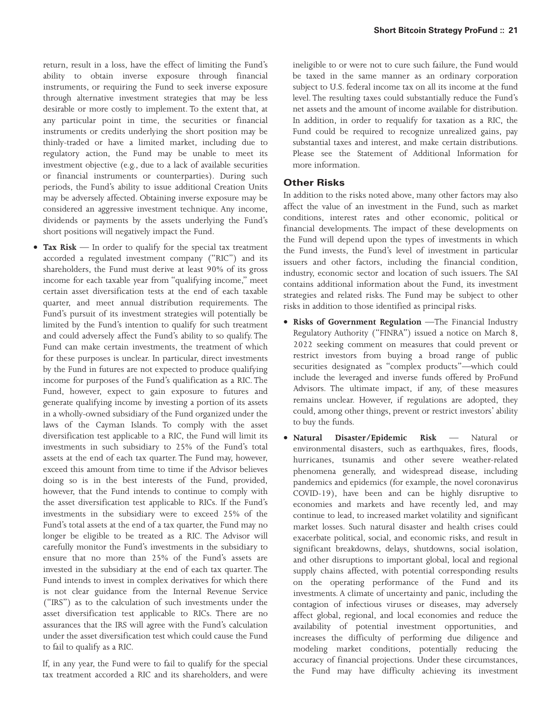return, result in a loss, have the effect of limiting the Fund's ability to obtain inverse exposure through financial instruments, or requiring the Fund to seek inverse exposure through alternative investment strategies that may be less desirable or more costly to implement. To the extent that, at any particular point in time, the securities or financial instruments or credits underlying the short position may be thinly-traded or have a limited market, including due to regulatory action, the Fund may be unable to meet its investment objective (e.g., due to a lack of available securities or financial instruments or counterparties). During such periods, the Fund's ability to issue additional Creation Units may be adversely affected. Obtaining inverse exposure may be considered an aggressive investment technique. Any income, dividends or payments by the assets underlying the Fund's short positions will negatively impact the Fund.

• **Tax Risk** — In order to qualify for the special tax treatment accorded a regulated investment company ("RIC") and its shareholders, the Fund must derive at least 90% of its gross income for each taxable year from "qualifying income," meet certain asset diversification tests at the end of each taxable quarter, and meet annual distribution requirements. The Fund's pursuit of its investment strategies will potentially be limited by the Fund's intention to qualify for such treatment and could adversely affect the Fund's ability to so qualify. The Fund can make certain investments, the treatment of which for these purposes is unclear. In particular, direct investments by the Fund in futures are not expected to produce qualifying income for purposes of the Fund's qualification as a RIC. The Fund, however, expect to gain exposure to futures and generate qualifying income by investing a portion of its assets in a wholly-owned subsidiary of the Fund organized under the laws of the Cayman Islands. To comply with the asset diversification test applicable to a RIC, the Fund will limit its investments in such subsidiary to 25% of the Fund's total assets at the end of each tax quarter. The Fund may, however, exceed this amount from time to time if the Advisor believes doing so is in the best interests of the Fund, provided, however, that the Fund intends to continue to comply with the asset diversification test applicable to RICs. If the Fund's investments in the subsidiary were to exceed 25% of the Fund's total assets at the end of a tax quarter, the Fund may no longer be eligible to be treated as a RIC. The Advisor will carefully monitor the Fund's investments in the subsidiary to ensure that no more than 25% of the Fund's assets are invested in the subsidiary at the end of each tax quarter. The Fund intends to invest in complex derivatives for which there is not clear guidance from the Internal Revenue Service ("IRS") as to the calculation of such investments under the asset diversification test applicable to RICs. There are no assurances that the IRS will agree with the Fund's calculation under the asset diversification test which could cause the Fund to fail to qualify as a RIC.

If, in any year, the Fund were to fail to qualify for the special tax treatment accorded a RIC and its shareholders, and were

ineligible to or were not to cure such failure, the Fund would be taxed in the same manner as an ordinary corporation subject to U.S. federal income tax on all its income at the fund level. The resulting taxes could substantially reduce the Fund's net assets and the amount of income available for distribution. In addition, in order to requalify for taxation as a RIC, the Fund could be required to recognize unrealized gains, pay substantial taxes and interest, and make certain distributions. Please see the Statement of Additional Information for more information.

# **Other Risks**

In addition to the risks noted above, many other factors may also affect the value of an investment in the Fund, such as market conditions, interest rates and other economic, political or financial developments. The impact of these developments on the Fund will depend upon the types of investments in which the Fund invests, the Fund's level of investment in particular issuers and other factors, including the financial condition, industry, economic sector and location of such issuers. The SAI contains additional information about the Fund, its investment strategies and related risks. The Fund may be subject to other risks in addition to those identified as principal risks.

- **Risks of Government Regulation** —The Financial Industry Regulatory Authority ("FINRA") issued a notice on March 8, 2022 seeking comment on measures that could prevent or restrict investors from buying a broad range of public securities designated as "complex products"—which could include the leveraged and inverse funds offered by ProFund Advisors. The ultimate impact, if any, of these measures remains unclear. However, if regulations are adopted, they could, among other things, prevent or restrict investors' ability to buy the funds.
- **Natural Disaster/Epidemic Risk** Natural or environmental disasters, such as earthquakes, fires, floods, hurricanes, tsunamis and other severe weather-related phenomena generally, and widespread disease, including pandemics and epidemics (for example, the novel coronavirus COVID-19), have been and can be highly disruptive to economies and markets and have recently led, and may continue to lead, to increased market volatility and significant market losses. Such natural disaster and health crises could exacerbate political, social, and economic risks, and result in significant breakdowns, delays, shutdowns, social isolation, and other disruptions to important global, local and regional supply chains affected, with potential corresponding results on the operating performance of the Fund and its investments. A climate of uncertainty and panic, including the contagion of infectious viruses or diseases, may adversely affect global, regional, and local economies and reduce the availability of potential investment opportunities, and increases the difficulty of performing due diligence and modeling market conditions, potentially reducing the accuracy of financial projections. Under these circumstances, the Fund may have difficulty achieving its investment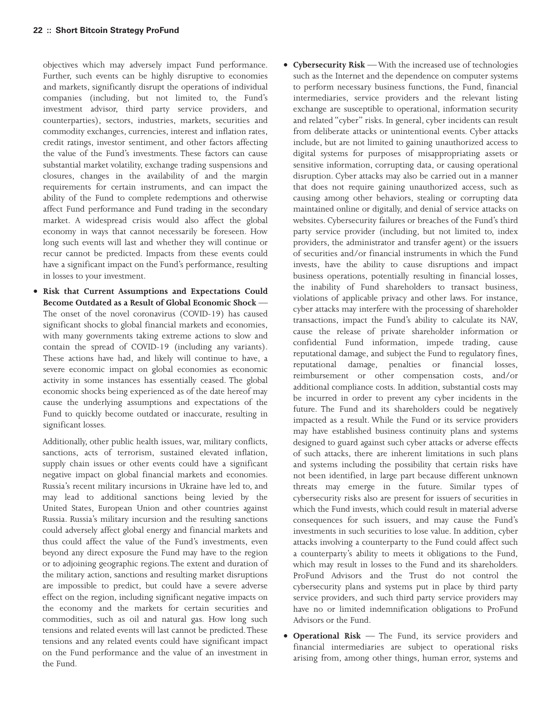objectives which may adversely impact Fund performance. Further, such events can be highly disruptive to economies and markets, significantly disrupt the operations of individual companies (including, but not limited to, the Fund's investment advisor, third party service providers, and counterparties), sectors, industries, markets, securities and commodity exchanges, currencies, interest and inflation rates, credit ratings, investor sentiment, and other factors affecting the value of the Fund's investments. These factors can cause substantial market volatility, exchange trading suspensions and closures, changes in the availability of and the margin requirements for certain instruments, and can impact the ability of the Fund to complete redemptions and otherwise affect Fund performance and Fund trading in the secondary market. A widespread crisis would also affect the global economy in ways that cannot necessarily be foreseen. How long such events will last and whether they will continue or recur cannot be predicted. Impacts from these events could have a significant impact on the Fund's performance, resulting in losses to your investment.

• **Risk that Current Assumptions and Expectations Could Become Outdated as a Result of Global Economic Shock** — The onset of the novel coronavirus (COVID-19) has caused significant shocks to global financial markets and economies, with many governments taking extreme actions to slow and contain the spread of COVID-19 (including any variants). These actions have had, and likely will continue to have, a severe economic impact on global economies as economic activity in some instances has essentially ceased. The global economic shocks being experienced as of the date hereof may cause the underlying assumptions and expectations of the Fund to quickly become outdated or inaccurate, resulting in significant losses.

Additionally, other public health issues, war, military conflicts, sanctions, acts of terrorism, sustained elevated inflation, supply chain issues or other events could have a significant negative impact on global financial markets and economies. Russia's recent military incursions in Ukraine have led to, and may lead to additional sanctions being levied by the United States, European Union and other countries against Russia. Russia's military incursion and the resulting sanctions could adversely affect global energy and financial markets and thus could affect the value of the Fund's investments, even beyond any direct exposure the Fund may have to the region or to adjoining geographic regions.The extent and duration of the military action, sanctions and resulting market disruptions are impossible to predict, but could have a severe adverse effect on the region, including significant negative impacts on the economy and the markets for certain securities and commodities, such as oil and natural gas. How long such tensions and related events will last cannot be predicted.These tensions and any related events could have significant impact on the Fund performance and the value of an investment in the Fund.

- **Cybersecurity Risk** —With the increased use of technologies such as the Internet and the dependence on computer systems to perform necessary business functions, the Fund, financial intermediaries, service providers and the relevant listing exchange are susceptible to operational, information security and related "cyber" risks. In general, cyber incidents can result from deliberate attacks or unintentional events. Cyber attacks include, but are not limited to gaining unauthorized access to digital systems for purposes of misappropriating assets or sensitive information, corrupting data, or causing operational disruption. Cyber attacks may also be carried out in a manner that does not require gaining unauthorized access, such as causing among other behaviors, stealing or corrupting data maintained online or digitally, and denial of service attacks on websites. Cybersecurity failures or breaches of the Fund's third party service provider (including, but not limited to, index providers, the administrator and transfer agent) or the issuers of securities and/or financial instruments in which the Fund invests, have the ability to cause disruptions and impact business operations, potentially resulting in financial losses, the inability of Fund shareholders to transact business, violations of applicable privacy and other laws. For instance, cyber attacks may interfere with the processing of shareholder transactions, impact the Fund's ability to calculate its NAV, cause the release of private shareholder information or confidential Fund information, impede trading, cause reputational damage, and subject the Fund to regulatory fines, reputational damage, penalties or financial losses, reimbursement or other compensation costs, and/or additional compliance costs. In addition, substantial costs may be incurred in order to prevent any cyber incidents in the future. The Fund and its shareholders could be negatively impacted as a result. While the Fund or its service providers may have established business continuity plans and systems designed to guard against such cyber attacks or adverse effects of such attacks, there are inherent limitations in such plans and systems including the possibility that certain risks have not been identified, in large part because different unknown threats may emerge in the future. Similar types of cybersecurity risks also are present for issuers of securities in which the Fund invests, which could result in material adverse consequences for such issuers, and may cause the Fund's investments in such securities to lose value. In addition, cyber attacks involving a counterparty to the Fund could affect such a counterparty's ability to meets it obligations to the Fund, which may result in losses to the Fund and its shareholders. ProFund Advisors and the Trust do not control the cybersecurity plans and systems put in place by third party service providers, and such third party service providers may have no or limited indemnification obligations to ProFund Advisors or the Fund.
- **Operational Risk** The Fund, its service providers and financial intermediaries are subject to operational risks arising from, among other things, human error, systems and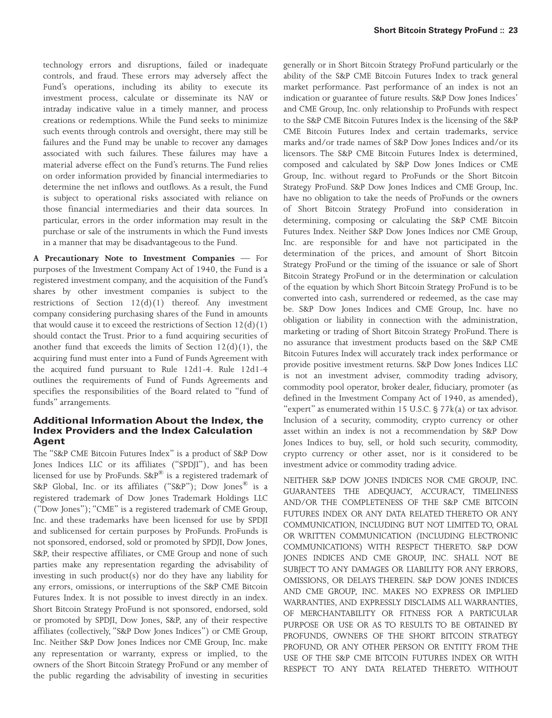technology errors and disruptions, failed or inadequate controls, and fraud. These errors may adversely affect the Fund's operations, including its ability to execute its investment process, calculate or disseminate its NAV or intraday indicative value in a timely manner, and process creations or redemptions. While the Fund seeks to minimize such events through controls and oversight, there may still be failures and the Fund may be unable to recover any damages associated with such failures. These failures may have a material adverse effect on the Fund's returns. The Fund relies on order information provided by financial intermediaries to determine the net inflows and outflows. As a result, the Fund is subject to operational risks associated with reliance on those financial intermediaries and their data sources. In particular, errors in the order information may result in the purchase or sale of the instruments in which the Fund invests in a manner that may be disadvantageous to the Fund.

**A Precautionary Note to Investment Companies** — For purposes of the Investment Company Act of 1940, the Fund is a registered investment company, and the acquisition of the Fund's shares by other investment companies is subject to the restrictions of Section  $12(d)(1)$  thereof. Any investment company considering purchasing shares of the Fund in amounts that would cause it to exceed the restrictions of Section  $12(d)(1)$ should contact the Trust. Prior to a fund acquiring securities of another fund that exceeds the limits of Section  $12(d)(1)$ , the acquiring fund must enter into a Fund of Funds Agreement with the acquired fund pursuant to Rule 12d1-4. Rule 12d1-4 outlines the requirements of Fund of Funds Agreements and specifies the responsibilities of the Board related to "fund of funds" arrangements.

# **Additional Information About the Index, the Index Providers and the Index Calculation Agent**

The "S&P CME Bitcoin Futures Index" is a product of S&P Dow Jones Indices LLC or its affiliates ("SPDJI"), and has been licensed for use by ProFunds. S&P® is a registered trademark of S&P Global, Inc. or its affiliates ("S&P"); Dow Jones® is a registered trademark of Dow Jones Trademark Holdings LLC ("Dow Jones"); "CME" is a registered trademark of CME Group, Inc. and these trademarks have been licensed for use by SPDJI and sublicensed for certain purposes by ProFunds. ProFunds is not sponsored, endorsed, sold or promoted by SPDJI, Dow Jones, S&P, their respective affiliates, or CME Group and none of such parties make any representation regarding the advisability of investing in such product(s) nor do they have any liability for any errors, omissions, or interruptions of the S&P CME Bitcoin Futures Index. It is not possible to invest directly in an index. Short Bitcoin Strategy ProFund is not sponsored, endorsed, sold or promoted by SPDJI, Dow Jones, S&P, any of their respective affiliates (collectively, "S&P Dow Jones Indices") or CME Group, Inc. Neither S&P Dow Jones Indices nor CME Group, Inc. make any representation or warranty, express or implied, to the owners of the Short Bitcoin Strategy ProFund or any member of the public regarding the advisability of investing in securities

generally or in Short Bitcoin Strategy ProFund particularly or the ability of the S&P CME Bitcoin Futures Index to track general market performance. Past performance of an index is not an indication or guarantee of future results. S&P Dow Jones Indices' and CME Group, Inc. only relationship to ProFunds with respect to the S&P CME Bitcoin Futures Index is the licensing of the S&P CME Bitcoin Futures Index and certain trademarks, service marks and/or trade names of S&P Dow Jones Indices and/or its licensors. The S&P CME Bitcoin Futures Index is determined, composed and calculated by S&P Dow Jones Indices or CME Group, Inc. without regard to ProFunds or the Short Bitcoin Strategy ProFund. S&P Dow Jones Indices and CME Group, Inc. have no obligation to take the needs of ProFunds or the owners of Short Bitcoin Strategy ProFund into consideration in determining, composing or calculating the S&P CME Bitcoin Futures Index. Neither S&P Dow Jones Indices nor CME Group, Inc. are responsible for and have not participated in the determination of the prices, and amount of Short Bitcoin Strategy ProFund or the timing of the issuance or sale of Short Bitcoin Strategy ProFund or in the determination or calculation of the equation by which Short Bitcoin Strategy ProFund is to be converted into cash, surrendered or redeemed, as the case may be. S&P Dow Jones Indices and CME Group, Inc. have no obligation or liability in connection with the administration, marketing or trading of Short Bitcoin Strategy ProFund. There is no assurance that investment products based on the S&P CME Bitcoin Futures Index will accurately track index performance or provide positive investment returns. S&P Dow Jones Indices LLC is not an investment adviser, commodity trading advisory, commodity pool operator, broker dealer, fiduciary, promoter (as defined in the Investment Company Act of 1940, as amended), "expert" as enumerated within 15 U.S.C.  $\S$  77 $k(a)$  or tax advisor. Inclusion of a security, commodity, crypto currency or other asset within an index is not a recommendation by S&P Dow Jones Indices to buy, sell, or hold such security, commodity, crypto currency or other asset, nor is it considered to be investment advice or commodity trading advice.

NEITHER S&P DOW JONES INDICES NOR CME GROUP, INC. GUARANTEES THE ADEQUACY, ACCURACY, TIMELINESS AND/OR THE COMPLETENESS OF THE S&P CME BITCOIN FUTURES INDEX OR ANY DATA RELATED THERETO OR ANY COMMUNICATION, INCLUDING BUT NOT LIMITED TO, ORAL OR WRITTEN COMMUNICATION (INCLUDING ELECTRONIC COMMUNICATIONS) WITH RESPECT THERETO. S&P DOW JONES INDICES AND CME GROUP, INC. SHALL NOT BE SUBJECT TO ANY DAMAGES OR LIABILITY FOR ANY ERRORS, OMISSIONS, OR DELAYS THEREIN. S&P DOW JONES INDICES AND CME GROUP, INC. MAKES NO EXPRESS OR IMPLIED WARRANTIES, AND EXPRESSLY DISCLAIMS ALL WARRANTIES, OF MERCHANTABILITY OR FITNESS FOR A PARTICULAR PURPOSE OR USE OR AS TO RESULTS TO BE OBTAINED BY PROFUNDS, OWNERS OF THE SHORT BITCOIN STRATEGY PROFUND, OR ANY OTHER PERSON OR ENTITY FROM THE USE OF THE S&P CME BITCOIN FUTURES INDEX OR WITH RESPECT TO ANY DATA RELATED THERETO. WITHOUT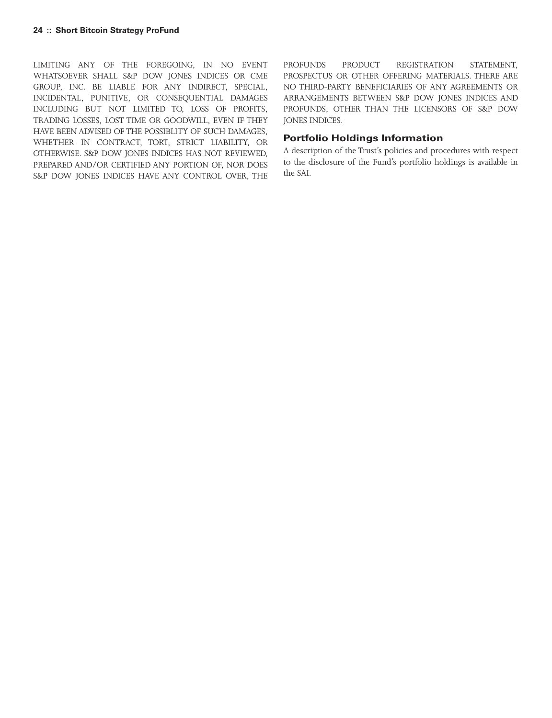LIMITING ANY OF THE FOREGOING, IN NO EVENT WHATSOEVER SHALL S&P DOW JONES INDICES OR CME GROUP, INC. BE LIABLE FOR ANY INDIRECT, SPECIAL, INCIDENTAL, PUNITIVE, OR CONSEQUENTIAL DAMAGES INCLUDING BUT NOT LIMITED TO, LOSS OF PROFITS, TRADING LOSSES, LOST TIME OR GOODWILL, EVEN IF THEY HAVE BEEN ADVISED OF THE POSSIBLITY OF SUCH DAMAGES, WHETHER IN CONTRACT, TORT, STRICT LIABILITY, OR OTHERWISE. S&P DOW JONES INDICES HAS NOT REVIEWED, PREPARED AND/OR CERTIFIED ANY PORTION OF, NOR DOES S&P DOW JONES INDICES HAVE ANY CONTROL OVER, THE

PROFUNDS PRODUCT REGISTRATION STATEMENT, PROSPECTUS OR OTHER OFFERING MATERIALS. THERE ARE NO THIRD-PARTY BENEFICIARIES OF ANY AGREEMENTS OR ARRANGEMENTS BETWEEN S&P DOW JONES INDICES AND PROFUNDS, OTHER THAN THE LICENSORS OF S&P DOW JONES INDICES.

## **Portfolio Holdings Information**

A description of the Trust's policies and procedures with respect to the disclosure of the Fund's portfolio holdings is available in the SAI.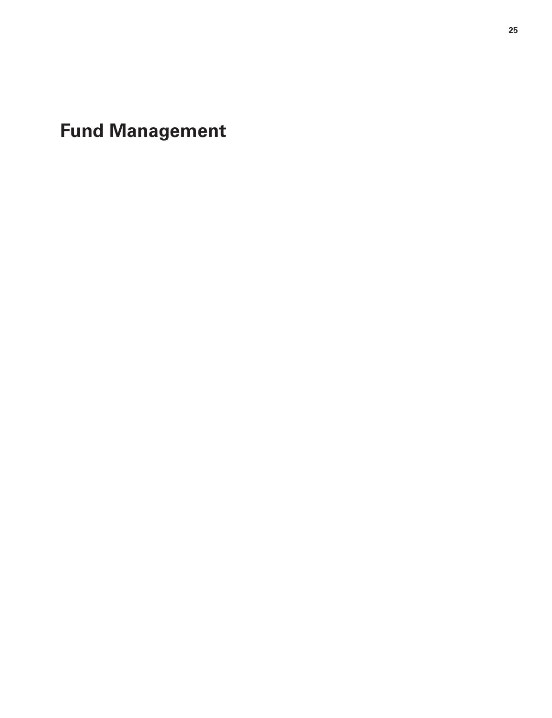<span id="page-24-0"></span>**Fund Management**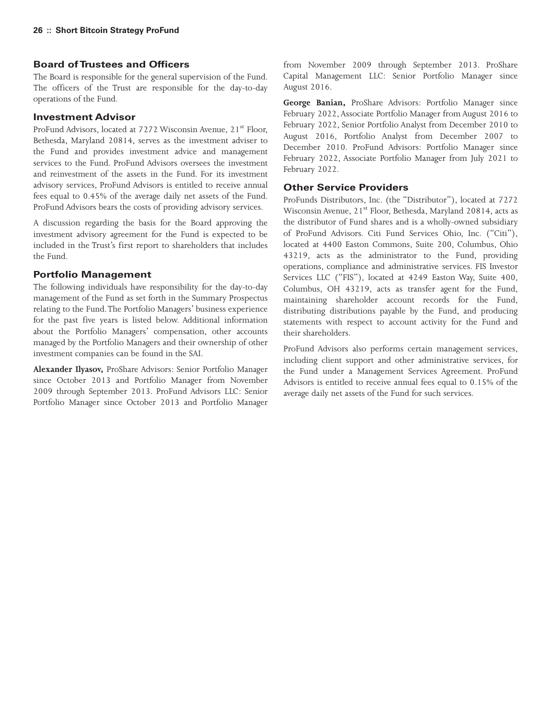# **Board of Trustees and Officers**

The Board is responsible for the general supervision of the Fund. The officers of the Trust are responsible for the day-to-day operations of the Fund.

#### **Investment Advisor**

ProFund Advisors, located at 7272 Wisconsin Avenue, 21<sup>st</sup> Floor, Bethesda, Maryland 20814, serves as the investment adviser to the Fund and provides investment advice and management services to the Fund. ProFund Advisors oversees the investment and reinvestment of the assets in the Fund. For its investment advisory services, ProFund Advisors is entitled to receive annual fees equal to 0.45% of the average daily net assets of the Fund. ProFund Advisors bears the costs of providing advisory services.

A discussion regarding the basis for the Board approving the investment advisory agreement for the Fund is expected to be included in the Trust's first report to shareholders that includes the Fund.

### **Portfolio Management**

The following individuals have responsibility for the day-to-day management of the Fund as set forth in the Summary Prospectus relating to the Fund.The Portfolio Managers' business experience for the past five years is listed below. Additional information about the Portfolio Managers' compensation, other accounts managed by the Portfolio Managers and their ownership of other investment companies can be found in the SAI.

**Alexander Ilyasov,** ProShare Advisors: Senior Portfolio Manager since October 2013 and Portfolio Manager from November 2009 through September 2013. ProFund Advisors LLC: Senior Portfolio Manager since October 2013 and Portfolio Manager

from November 2009 through September 2013. ProShare Capital Management LLC: Senior Portfolio Manager since August 2016.

**George Banian,** ProShare Advisors: Portfolio Manager since February 2022, Associate Portfolio Manager from August 2016 to February 2022, Senior Portfolio Analyst from December 2010 to August 2016, Portfolio Analyst from December 2007 to December 2010. ProFund Advisors: Portfolio Manager since February 2022, Associate Portfolio Manager from July 2021 to February 2022.

### **Other Service Providers**

ProFunds Distributors, Inc. (the "Distributor"), located at 7272 Wisconsin Avenue, 21<sup>st</sup> Floor, Bethesda, Maryland 20814, acts as the distributor of Fund shares and is a wholly-owned subsidiary of ProFund Advisors. Citi Fund Services Ohio, Inc. ("Citi"), located at 4400 Easton Commons, Suite 200, Columbus, Ohio 43219, acts as the administrator to the Fund, providing operations, compliance and administrative services. FIS Investor Services LLC ("FIS"), located at 4249 Easton Way, Suite 400, Columbus, OH 43219, acts as transfer agent for the Fund, maintaining shareholder account records for the Fund, distributing distributions payable by the Fund, and producing statements with respect to account activity for the Fund and their shareholders.

ProFund Advisors also performs certain management services, including client support and other administrative services, for the Fund under a Management Services Agreement. ProFund Advisors is entitled to receive annual fees equal to 0.15% of the average daily net assets of the Fund for such services.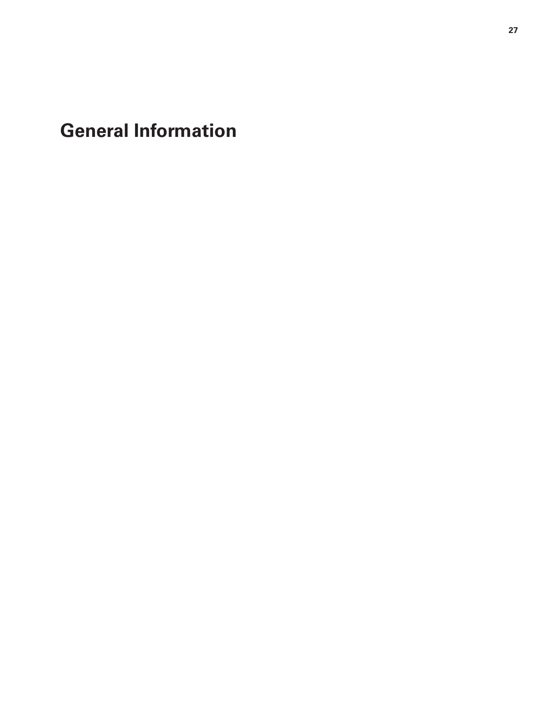<span id="page-26-0"></span>**General Information**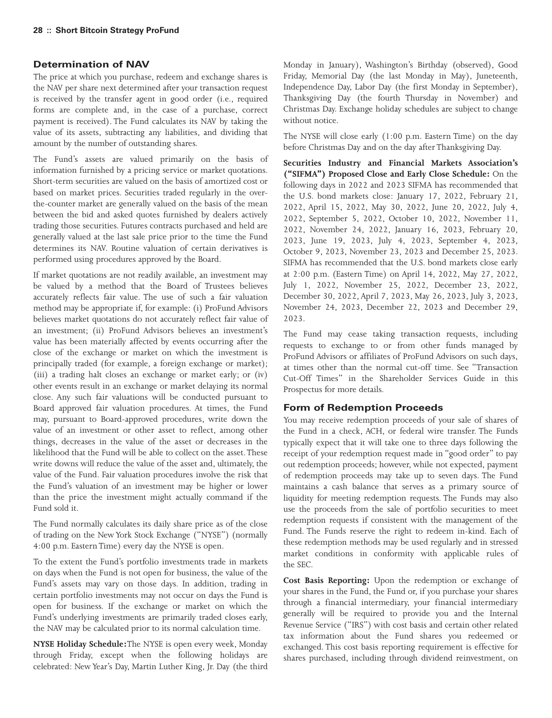# **Determination of NAV**

The price at which you purchase, redeem and exchange shares is the NAV per share next determined after your transaction request is received by the transfer agent in good order (i.e., required forms are complete and, in the case of a purchase, correct payment is received). The Fund calculates its NAV by taking the value of its assets, subtracting any liabilities, and dividing that amount by the number of outstanding shares.

The Fund's assets are valued primarily on the basis of information furnished by a pricing service or market quotations. Short-term securities are valued on the basis of amortized cost or based on market prices. Securities traded regularly in the overthe-counter market are generally valued on the basis of the mean between the bid and asked quotes furnished by dealers actively trading those securities. Futures contracts purchased and held are generally valued at the last sale price prior to the time the Fund determines its NAV. Routine valuation of certain derivatives is performed using procedures approved by the Board.

If market quotations are not readily available, an investment may be valued by a method that the Board of Trustees believes accurately reflects fair value. The use of such a fair valuation method may be appropriate if, for example: (i) ProFund Advisors believes market quotations do not accurately reflect fair value of an investment; (ii) ProFund Advisors believes an investment's value has been materially affected by events occurring after the close of the exchange or market on which the investment is principally traded (for example, a foreign exchange or market); (iii) a trading halt closes an exchange or market early; or (iv) other events result in an exchange or market delaying its normal close. Any such fair valuations will be conducted pursuant to Board approved fair valuation procedures. At times, the Fund may, pursuant to Board-approved procedures, write down the value of an investment or other asset to reflect, among other things, decreases in the value of the asset or decreases in the likelihood that the Fund will be able to collect on the asset.These write downs will reduce the value of the asset and, ultimately, the value of the Fund. Fair valuation procedures involve the risk that the Fund's valuation of an investment may be higher or lower than the price the investment might actually command if the Fund sold it.

The Fund normally calculates its daily share price as of the close of trading on the New York Stock Exchange ("NYSE") (normally 4:00 p.m. Eastern Time) every day the NYSE is open.

To the extent the Fund's portfolio investments trade in markets on days when the Fund is not open for business, the value of the Fund's assets may vary on those days. In addition, trading in certain portfolio investments may not occur on days the Fund is open for business. If the exchange or market on which the Fund's underlying investments are primarily traded closes early, the NAV may be calculated prior to its normal calculation time.

**NYSE Holiday Schedule:**The NYSE is open every week, Monday through Friday, except when the following holidays are celebrated: New Year's Day, Martin Luther King, Jr. Day (the third Monday in January), Washington's Birthday (observed), Good Friday, Memorial Day (the last Monday in May), Juneteenth, Independence Day, Labor Day (the first Monday in September), Thanksgiving Day (the fourth Thursday in November) and Christmas Day. Exchange holiday schedules are subject to change without notice.

The NYSE will close early (1:00 p.m. Eastern Time) on the day before Christmas Day and on the day after Thanksgiving Day.

**Securities Industry and Financial Markets Association's ("SIFMA") Proposed Close and Early Close Schedule:** On the following days in 2022 and 2023 SIFMA has recommended that the U.S. bond markets close: January 17, 2022, February 21, 2022, April 15, 2022, May 30, 2022, June 20, 2022, July 4, 2022, September 5, 2022, October 10, 2022, November 11, 2022, November 24, 2022, January 16, 2023, February 20, 2023, June 19, 2023, July 4, 2023, September 4, 2023, October 9, 2023, November 23, 2023 and December 25, 2023. SIFMA has recommended that the U.S. bond markets close early at 2:00 p.m. (Eastern Time) on April 14, 2022, May 27, 2022, July 1, 2022, November 25, 2022, December 23, 2022, December 30, 2022, April 7, 2023, May 26, 2023, July 3, 2023, November 24, 2023, December 22, 2023 and December 29, 2023.

The Fund may cease taking transaction requests, including requests to exchange to or from other funds managed by ProFund Advisors or affiliates of ProFund Advisors on such days, at times other than the normal cut-off time. See "Transaction Cut-Off Times" in the Shareholder Services Guide in this Prospectus for more details.

# **Form of Redemption Proceeds**

You may receive redemption proceeds of your sale of shares of the Fund in a check, ACH, or federal wire transfer. The Funds typically expect that it will take one to three days following the receipt of your redemption request made in "good order" to pay out redemption proceeds; however, while not expected, payment of redemption proceeds may take up to seven days. The Fund maintains a cash balance that serves as a primary source of liquidity for meeting redemption requests. The Funds may also use the proceeds from the sale of portfolio securities to meet redemption requests if consistent with the management of the Fund. The Funds reserve the right to redeem in-kind. Each of these redemption methods may be used regularly and in stressed market conditions in conformity with applicable rules of the SEC.

**Cost Basis Reporting:** Upon the redemption or exchange of your shares in the Fund, the Fund or, if you purchase your shares through a financial intermediary, your financial intermediary generally will be required to provide you and the Internal Revenue Service ("IRS") with cost basis and certain other related tax information about the Fund shares you redeemed or exchanged. This cost basis reporting requirement is effective for shares purchased, including through dividend reinvestment, on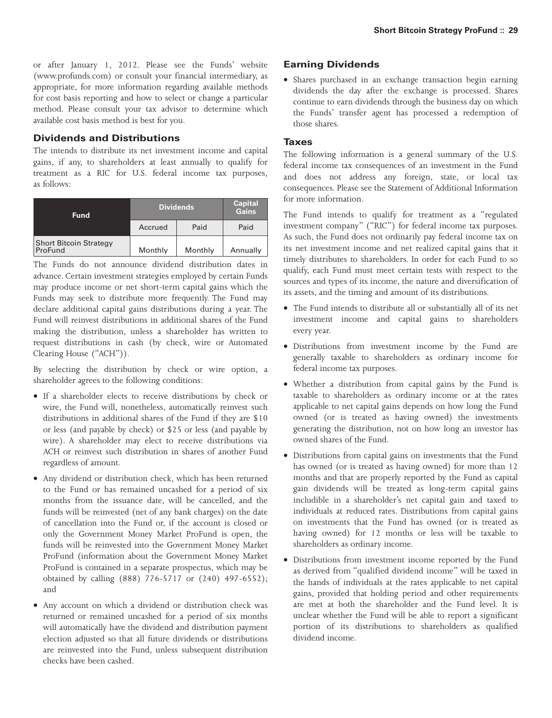or after January 1, 2012. Please see the Funds' website (www.profunds.com) or consult your financial intermediary, as appropriate, for more information regarding available methods for cost basis reporting and how to select or change a particular method. Please consult your tax advisor to determine which available cost basis method is best for you.

# **Dividends and Distributions**

The intends to distribute its net investment income and capital gains, if any, to shareholders at least annually to qualify for treatment as a RIC for U.S. federal income tax purposes, as follows:

| <b>Fund</b>                              | <b>Dividends</b> | <b>Capital</b><br><b>Gains</b> |          |
|------------------------------------------|------------------|--------------------------------|----------|
|                                          | Accrued          | Paid                           | Paid     |
| <b>Short Bitcoin Strategy</b><br>ProFund | Monthly          | Monthly                        | Annually |

The Funds do not announce dividend distribution dates in advance. Certain investment strategies employed by certain Funds may produce income or net short-term capital gains which the Funds may seek to distribute more frequently. The Fund may declare additional capital gains distributions during a year. The Fund will reinvest distributions in additional shares of the Fund making the distribution, unless a shareholder has written to request distributions in cash (by check, wire or Automated Clearing House ("ACH")).

By selecting the distribution by check or wire option, a shareholder agrees to the following conditions:

- If a shareholder elects to receive distributions by check or wire, the Fund will, nonetheless, automatically reinvest such distributions in additional shares of the Fund if they are \$10 or less (and payable by check) or \$25 or less (and payable by wire). A shareholder may elect to receive distributions via ACH or reinvest such distribution in shares of another Fund regardless of amount.
- Any dividend or distribution check, which has been returned to the Fund or has remained uncashed for a period of six months from the issuance date, will be cancelled, and the funds will be reinvested (net of any bank charges) on the date of cancellation into the Fund or, if the account is closed or only the Government Money Market ProFund is open, the funds will be reinvested into the Government Money Market ProFund (information about the Government Money Market ProFund is contained in a separate prospectus, which may be obtained by calling (888) 776-5717 or (240) 497-6552); and
- Any account on which a dividend or distribution check was returned or remained uncashed for a period of six months will automatically have the dividend and distribution payment election adjusted so that all future dividends or distributions are reinvested into the Fund, unless subsequent distribution checks have been cashed.

# **Earning Dividends**

• Shares purchased in an exchange transaction begin earning dividends the day after the exchange is processed. Shares continue to earn dividends through the business day on which the Funds' transfer agent has processed a redemption of those shares.

#### **Taxes**

The following information is a general summary of the U.S. federal income tax consequences of an investment in the Fund and does not address any foreign, state, or local tax consequences. Please see the Statement of Additional Information for more information.

The Fund intends to qualify for treatment as a "regulated investment company" ("RIC") for federal income tax purposes. As such, the Fund does not ordinarily pay federal income tax on its net investment income and net realized capital gains that it timely distributes to shareholders. In order for each Fund to so qualify, each Fund must meet certain tests with respect to the sources and types of its income, the nature and diversification of its assets, and the timing and amount of its distributions.

- The Fund intends to distribute all or substantially all of its net investment income and capital gains to shareholders every year.
- Distributions from investment income by the Fund are generally taxable to shareholders as ordinary income for federal income tax purposes.
- Whether a distribution from capital gains by the Fund is taxable to shareholders as ordinary income or at the rates applicable to net capital gains depends on how long the Fund owned (or is treated as having owned) the investments generating the distribution, not on how long an investor has owned shares of the Fund.
- Distributions from capital gains on investments that the Fund has owned (or is treated as having owned) for more than 12 months and that are properly reported by the Fund as capital gain dividends will be treated as long-term capital gains includible in a shareholder's net capital gain and taxed to individuals at reduced rates. Distributions from capital gains on investments that the Fund has owned (or is treated as having owned) for 12 months or less will be taxable to shareholders as ordinary income.
- Distributions from investment income reported by the Fund as derived from "qualified dividend income" will be taxed in the hands of individuals at the rates applicable to net capital gains, provided that holding period and other requirements are met at both the shareholder and the Fund level. It is unclear whether the Fund will be able to report a significant portion of its distributions to shareholders as qualified dividend income.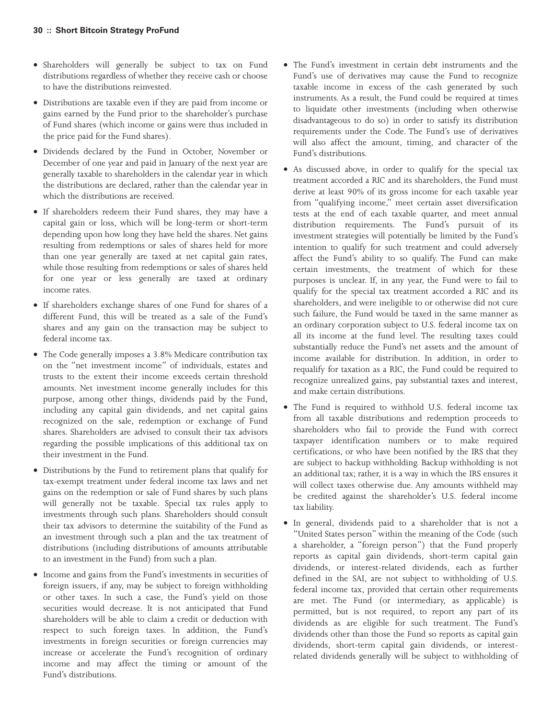- Shareholders will generally be subject to tax on Fund distributions regardless of whether they receive cash or choose to have the distributions reinvested.
- Distributions are taxable even if they are paid from income or gains earned by the Fund prior to the shareholder's purchase of Fund shares (which income or gains were thus included in the price paid for the Fund shares).
- Dividends declared by the Fund in October, November or December of one year and paid in January of the next year are generally taxable to shareholders in the calendar year in which the distributions are declared, rather than the calendar year in which the distributions are received.
- If shareholders redeem their Fund shares, they may have a capital gain or loss, which will be long-term or short-term depending upon how long they have held the shares. Net gains resulting from redemptions or sales of shares held for more than one year generally are taxed at net capital gain rates, while those resulting from redemptions or sales of shares held for one year or less generally are taxed at ordinary income rates.
- If shareholders exchange shares of one Fund for shares of a different Fund, this will be treated as a sale of the Fund's shares and any gain on the transaction may be subject to federal income tax.
- The Code generally imposes a 3.8% Medicare contribution tax on the "net investment income" of individuals, estates and trusts to the extent their income exceeds certain threshold amounts. Net investment income generally includes for this purpose, among other things, dividends paid by the Fund, including any capital gain dividends, and net capital gains recognized on the sale, redemption or exchange of Fund shares. Shareholders are advised to consult their tax advisors regarding the possible implications of this additional tax on their investment in the Fund.
- Distributions by the Fund to retirement plans that qualify for tax-exempt treatment under federal income tax laws and net gains on the redemption or sale of Fund shares by such plans will generally not be taxable. Special tax rules apply to investments through such plans. Shareholders should consult their tax advisors to determine the suitability of the Fund as an investment through such a plan and the tax treatment of distributions (including distributions of amounts attributable to an investment in the Fund) from such a plan.
- Income and gains from the Fund's investments in securities of foreign issuers, if any, may be subject to foreign withholding or other taxes. In such a case, the Fund's yield on those securities would decrease. It is not anticipated that Fund shareholders will be able to claim a credit or deduction with respect to such foreign taxes. In addition, the Fund's investments in foreign securities or foreign currencies may increase or accelerate the Fund's recognition of ordinary income and may affect the timing or amount of the Fund's distributions.
- The Fund's investment in certain debt instruments and the Fund's use of derivatives may cause the Fund to recognize taxable income in excess of the cash generated by such instruments. As a result, the Fund could be required at times to liquidate other investments (including when otherwise disadvantageous to do so) in order to satisfy its distribution requirements under the Code. The Fund's use of derivatives will also affect the amount, timing, and character of the Fund's distributions.
- As discussed above, in order to qualify for the special tax treatment accorded a RIC and its shareholders, the Fund must derive at least 90% of its gross income for each taxable year from "qualifying income," meet certain asset diversification tests at the end of each taxable quarter, and meet annual distribution requirements. The Fund's pursuit of its investment strategies will potentially be limited by the Fund's intention to qualify for such treatment and could adversely affect the Fund's ability to so qualify. The Fund can make certain investments, the treatment of which for these purposes is unclear. If, in any year, the Fund were to fail to qualify for the special tax treatment accorded a RIC and its shareholders, and were ineligible to or otherwise did not cure such failure, the Fund would be taxed in the same manner as an ordinary corporation subject to U.S. federal income tax on all its income at the fund level. The resulting taxes could substantially reduce the Fund's net assets and the amount of income available for distribution. In addition, in order to requalify for taxation as a RIC, the Fund could be required to recognize unrealized gains, pay substantial taxes and interest, and make certain distributions.
- The Fund is required to withhold U.S. federal income tax from all taxable distributions and redemption proceeds to shareholders who fail to provide the Fund with correct taxpayer identification numbers or to make required certifications, or who have been notified by the IRS that they are subject to backup withholding. Backup withholding is not an additional tax; rather, it is a way in which the IRS ensures it will collect taxes otherwise due. Any amounts withheld may be credited against the shareholder's U.S. federal income tax liability.
- In general, dividends paid to a shareholder that is not a "United States person" within the meaning of the Code (such a shareholder, a "foreign person") that the Fund properly reports as capital gain dividends, short-term capital gain dividends, or interest-related dividends, each as further defined in the SAI, are not subject to withholding of U.S. federal income tax, provided that certain other requirements are met. The Fund (or intermediary, as applicable) is permitted, but is not required, to report any part of its dividends as are eligible for such treatment. The Fund's dividends other than those the Fund so reports as capital gain dividends, short-term capital gain dividends, or interestrelated dividends generally will be subject to withholding of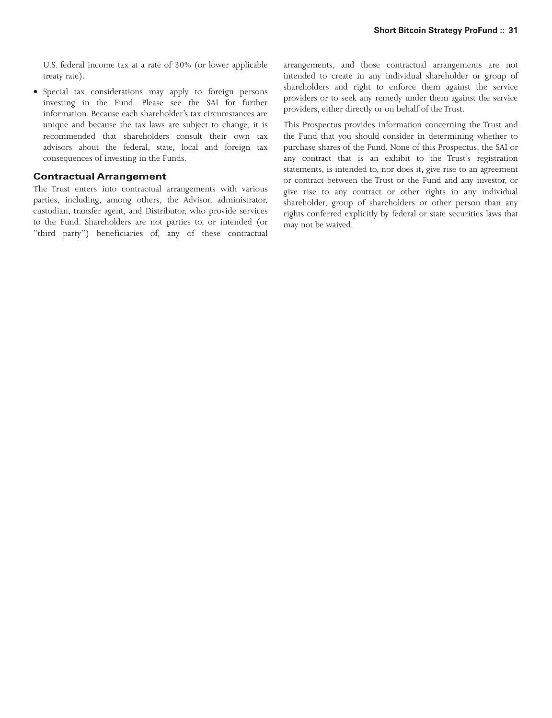U.S. federal income tax at a rate of 30% (or lower applicable treaty rate).

• Special tax considerations may apply to foreign persons investing in the Fund. Please see the SAI for further information. Because each shareholder's tax circumstances are unique and because the tax laws are subject to change, it is recommended that shareholders consult their own tax advisors about the federal, state, local and foreign tax consequences of investing in the Funds.

#### **Contractual Arrangement**

The Trust enters into contractual arrangements with various parties, including, among others, the Advisor, administrator, custodian, transfer agent, and Distributor, who provide services to the Fund. Shareholders are not parties to, or intended (or "third party") beneficiaries of, any of these contractual arrangements, and those contractual arrangements are not intended to create in any individual shareholder or group of shareholders and right to enforce them against the service providers or to seek any remedy under them against the service providers, either directly or on behalf of the Trust.

This Prospectus provides information concerning the Trust and the Fund that you should consider in determining whether to purchase shares of the Fund. None of this Prospectus, the SAI or any contract that is an exhibit to the Trust's registration statements, is intended to, nor does it, give rise to an agreement or contract between the Trust or the Fund and any investor, or give rise to any contract or other rights in any individual shareholder, group of shareholders or other person than any rights conferred explicitly by federal or state securities laws that may not be waived.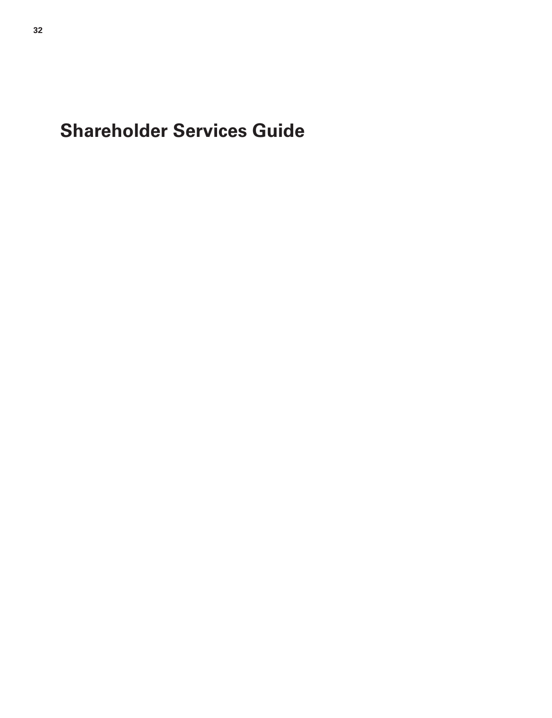<span id="page-31-0"></span>**Shareholder Services Guide**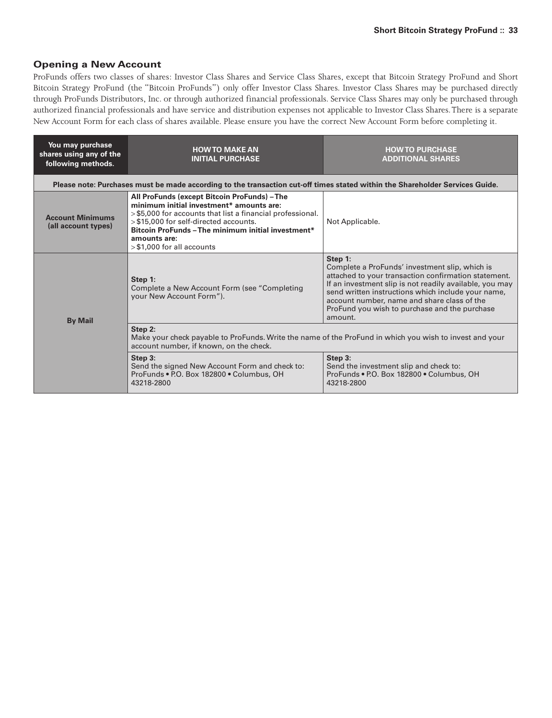# **Opening a New Account**

ProFunds offers two classes of shares: Investor Class Shares and Service Class Shares, except that Bitcoin Strategy ProFund and Short Bitcoin Strategy ProFund (the "Bitcoin ProFunds") only offer Investor Class Shares. Investor Class Shares may be purchased directly through ProFunds Distributors, Inc. or through authorized financial professionals. Service Class Shares may only be purchased through authorized financial professionals and have service and distribution expenses not applicable to Investor Class Shares.There is a separate New Account Form for each class of shares available. Please ensure you have the correct New Account Form before completing it.

| You may purchase<br>shares using any of the<br>following methods. | <b>HOW TO MAKE AN</b><br><b>HOW TO PURCHASE</b><br><b>INITIAL PURCHASE</b><br><b>ADDITIONAL SHARES</b>                                                                                                                                                                                                |                                                                                                                                                                                                                                                                                                                                               |  |
|-------------------------------------------------------------------|-------------------------------------------------------------------------------------------------------------------------------------------------------------------------------------------------------------------------------------------------------------------------------------------------------|-----------------------------------------------------------------------------------------------------------------------------------------------------------------------------------------------------------------------------------------------------------------------------------------------------------------------------------------------|--|
|                                                                   | Please note: Purchases must be made according to the transaction cut-off times stated within the Shareholder Services Guide.                                                                                                                                                                          |                                                                                                                                                                                                                                                                                                                                               |  |
| <b>Account Minimums</b><br>(all account types)                    | All ProFunds (except Bitcoin ProFunds) - The<br>minimum initial investment* amounts are:<br>>\$5,000 for accounts that list a financial professional.<br>> \$15,000 for self-directed accounts.<br>Bitcoin ProFunds - The minimum initial investment*<br>amounts are:<br>$>$ \$1,000 for all accounts | Not Applicable.                                                                                                                                                                                                                                                                                                                               |  |
| <b>By Mail</b>                                                    | Step 1:<br>Complete a New Account Form (see "Completing<br>your New Account Form").                                                                                                                                                                                                                   | Step 1:<br>Complete a ProFunds' investment slip, which is<br>attached to your transaction confirmation statement.<br>If an investment slip is not readily available, you may<br>send written instructions which include your name,<br>account number, name and share class of the<br>ProFund you wish to purchase and the purchase<br>amount. |  |
|                                                                   | Step 2:<br>Make your check payable to ProFunds. Write the name of the ProFund in which you wish to invest and your<br>account number, if known, on the check.                                                                                                                                         |                                                                                                                                                                                                                                                                                                                                               |  |
|                                                                   | Step 3:<br>Send the signed New Account Form and check to:<br>ProFunds . P.O. Box 182800 . Columbus, OH<br>43218-2800                                                                                                                                                                                  | Step 3:<br>Send the investment slip and check to:<br>ProFunds . P.O. Box 182800 . Columbus, OH<br>43218-2800                                                                                                                                                                                                                                  |  |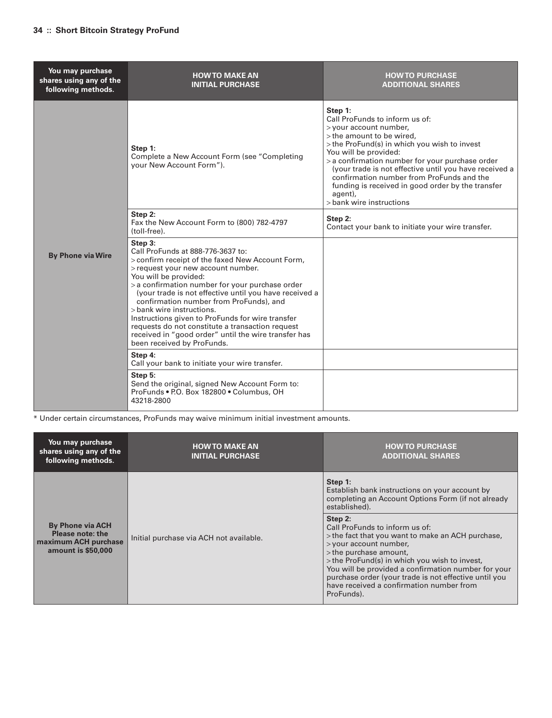| You may purchase<br>shares using any of the<br>following methods. | <b>HOW TO MAKE AN</b><br><b>INITIAL PURCHASE</b>                                                                                                                                                                                                                                                                                                                                                                                                                                                                                                   | <b>HOW TO PURCHASE</b><br><b>ADDITIONAL SHARES</b>                                                                                                                                                                                                                                                                                                                                                                              |
|-------------------------------------------------------------------|----------------------------------------------------------------------------------------------------------------------------------------------------------------------------------------------------------------------------------------------------------------------------------------------------------------------------------------------------------------------------------------------------------------------------------------------------------------------------------------------------------------------------------------------------|---------------------------------------------------------------------------------------------------------------------------------------------------------------------------------------------------------------------------------------------------------------------------------------------------------------------------------------------------------------------------------------------------------------------------------|
|                                                                   | Step 1:<br>Complete a New Account Form (see "Completing<br>your New Account Form").                                                                                                                                                                                                                                                                                                                                                                                                                                                                | Step 1:<br>Call ProFunds to inform us of:<br>> your account number,<br>> the amount to be wired,<br>> the ProFund(s) in which you wish to invest<br>You will be provided:<br>> a confirmation number for your purchase order<br>(your trade is not effective until you have received a<br>confirmation number from ProFunds and the<br>funding is received in good order by the transfer<br>agent),<br>> bank wire instructions |
|                                                                   | Step 2:<br>Fax the New Account Form to (800) 782-4797<br>(toll-free).                                                                                                                                                                                                                                                                                                                                                                                                                                                                              | Step 2:<br>Contact your bank to initiate your wire transfer.                                                                                                                                                                                                                                                                                                                                                                    |
| <b>By Phone via Wire</b>                                          | Step 3:<br>Call ProFunds at 888-776-3637 to:<br>> confirm receipt of the faxed New Account Form,<br>> request your new account number.<br>You will be provided:<br>> a confirmation number for your purchase order<br>(your trade is not effective until you have received a<br>confirmation number from ProFunds), and<br>> bank wire instructions.<br>Instructions given to ProFunds for wire transfer<br>requests do not constitute a transaction request<br>received in "good order" until the wire transfer has<br>been received by ProFunds. |                                                                                                                                                                                                                                                                                                                                                                                                                                 |
|                                                                   | Step 4:<br>Call your bank to initiate your wire transfer.                                                                                                                                                                                                                                                                                                                                                                                                                                                                                          |                                                                                                                                                                                                                                                                                                                                                                                                                                 |
|                                                                   | Step 5:<br>Send the original, signed New Account Form to:<br>ProFunds . P.O. Box 182800 . Columbus, OH<br>43218-2800                                                                                                                                                                                                                                                                                                                                                                                                                               |                                                                                                                                                                                                                                                                                                                                                                                                                                 |

\* Under certain circumstances, ProFunds may waive minimum initial investment amounts.

| You may purchase<br>shares using any of the<br>following methods.                         | <b>HOW TO MAKE AN</b><br><b>INITIAL PURCHASE</b> | <b>HOW TO PURCHASE</b><br><b>ADDITIONAL SHARES</b>                                                                                                                                                                                                                                                                                                                            |
|-------------------------------------------------------------------------------------------|--------------------------------------------------|-------------------------------------------------------------------------------------------------------------------------------------------------------------------------------------------------------------------------------------------------------------------------------------------------------------------------------------------------------------------------------|
|                                                                                           |                                                  | Step 1:<br>Establish bank instructions on your account by<br>completing an Account Options Form (if not already<br>established).                                                                                                                                                                                                                                              |
| <b>By Phone via ACH</b><br>Please note: the<br>maximum ACH purchase<br>amount is \$50,000 | Initial purchase via ACH not available.          | Step 2:<br>Call ProFunds to inform us of:<br>> the fact that you want to make an ACH purchase,<br>> your account number,<br>> the purchase amount,<br>> the ProFund(s) in which you wish to invest,<br>You will be provided a confirmation number for your<br>purchase order (your trade is not effective until you<br>have received a confirmation number from<br>ProFunds). |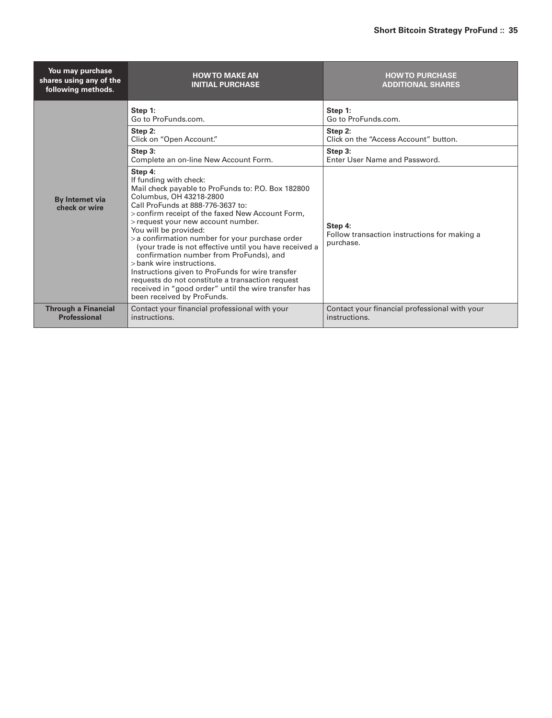| You may purchase<br>shares using any of the<br>following methods. | <b>HOW TO MAKE AN</b><br><b>INITIAL PURCHASE</b>                                                                                                                                                                                                                                                                                                                                                                                                                                                                                                                                                                                                              | <b>HOW TO PURCHASE</b><br><b>ADDITIONAL SHARES</b>                   |
|-------------------------------------------------------------------|---------------------------------------------------------------------------------------------------------------------------------------------------------------------------------------------------------------------------------------------------------------------------------------------------------------------------------------------------------------------------------------------------------------------------------------------------------------------------------------------------------------------------------------------------------------------------------------------------------------------------------------------------------------|----------------------------------------------------------------------|
|                                                                   | Step 1:<br>Go to ProFunds.com.                                                                                                                                                                                                                                                                                                                                                                                                                                                                                                                                                                                                                                | Step 1:<br>Go to ProFunds.com.                                       |
|                                                                   | Step 2:<br>Click on "Open Account."                                                                                                                                                                                                                                                                                                                                                                                                                                                                                                                                                                                                                           | Step 2:<br>Click on the "Access Account" button.                     |
|                                                                   | Step 3:<br>Complete an on-line New Account Form.                                                                                                                                                                                                                                                                                                                                                                                                                                                                                                                                                                                                              | Step 3:<br>Enter User Name and Password.                             |
| <b>By Internet via</b><br>check or wire                           | Step 4:<br>If funding with check:<br>Mail check payable to ProFunds to: P.O. Box 182800<br>Columbus, OH 43218-2800<br>Call ProFunds at 888-776-3637 to:<br>> confirm receipt of the faxed New Account Form,<br>> request your new account number.<br>You will be provided:<br>> a confirmation number for your purchase order<br>(your trade is not effective until you have received a<br>confirmation number from ProFunds), and<br>> bank wire instructions.<br>Instructions given to ProFunds for wire transfer<br>requests do not constitute a transaction request<br>received in "good order" until the wire transfer has<br>been received by ProFunds. | Step 4:<br>Follow transaction instructions for making a<br>purchase. |
| <b>Through a Financial</b><br><b>Professional</b>                 | Contact your financial professional with your<br>instructions.                                                                                                                                                                                                                                                                                                                                                                                                                                                                                                                                                                                                | Contact your financial professional with your<br>instructions.       |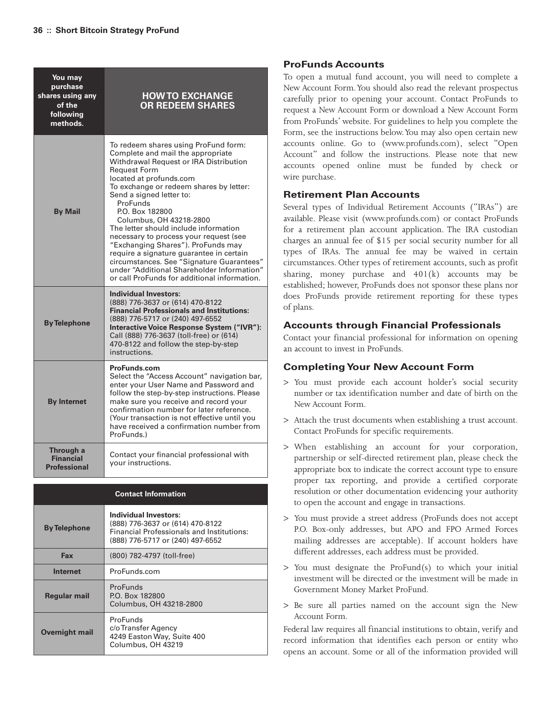| You may<br>purchase<br>shares using any<br>of the<br>following<br>methods. | <b>HOW TO EXCHANGE</b><br><b>OR REDEEM SHARES</b>                                                                                                                                                                                                                                                                                                                                                                                                                                                                                                                                                                      |
|----------------------------------------------------------------------------|------------------------------------------------------------------------------------------------------------------------------------------------------------------------------------------------------------------------------------------------------------------------------------------------------------------------------------------------------------------------------------------------------------------------------------------------------------------------------------------------------------------------------------------------------------------------------------------------------------------------|
| <b>By Mail</b>                                                             | To redeem shares using ProFund form:<br>Complete and mail the appropriate<br>Withdrawal Request or IRA Distribution<br><b>Request Form</b><br>located at profunds.com<br>To exchange or redeem shares by letter:<br>Send a signed letter to:<br>ProFunds<br>P.O. Box 182800<br>Columbus, OH 43218-2800<br>The letter should include information<br>necessary to process your request (see<br>"Exchanging Shares"). ProFunds may<br>require a signature guarantee in certain<br>circumstances. See "Signature Guarantees"<br>under "Additional Shareholder Information"<br>or call ProFunds for additional information. |
| <b>By Telephone</b>                                                        | <b>Individual Investors:</b><br>(888) 776-3637 or (614) 470-8122<br><b>Financial Professionals and Institutions:</b><br>(888) 776-5717 or (240) 497-6552<br>Interactive Voice Response System ("IVR"):<br>Call (888) 776-3637 (toll-free) or (614)<br>470-8122 and follow the step-by-step<br>instructions.                                                                                                                                                                                                                                                                                                            |
| <b>By Internet</b>                                                         | <b>ProFunds.com</b><br>Select the "Access Account" navigation bar,<br>enter your User Name and Password and<br>follow the step-by-step instructions. Please<br>make sure you receive and record your<br>confirmation number for later reference.<br>(Your transaction is not effective until you<br>have received a confirmation number from<br>ProFunds.)                                                                                                                                                                                                                                                             |
| Through a<br><b>Financial</b><br><b>Professional</b>                       | Contact your financial professional with<br>vour instructions.                                                                                                                                                                                                                                                                                                                                                                                                                                                                                                                                                         |

| <b>Contact Information</b> |                                                                                                                                                   |  |  |
|----------------------------|---------------------------------------------------------------------------------------------------------------------------------------------------|--|--|
| <b>By Telephone</b>        | Individual Investors:<br>(888) 776-3637 or (614) 470-8122<br><b>Financial Professionals and Institutions:</b><br>(888) 776-5717 or (240) 497-6552 |  |  |
| Fax                        | (800) 782-4797 (toll-free)                                                                                                                        |  |  |
| Internet                   | ProFunds.com                                                                                                                                      |  |  |
| <b>Regular mail</b>        | ProFunds<br>P.O. Box 182800<br>Columbus, OH 43218-2800                                                                                            |  |  |
| <b>Overnight mail</b>      | ProFunds<br>c/oTransfer Agency<br>4249 Easton Way, Suite 400<br>Columbus, OH 43219                                                                |  |  |

# **ProFunds Accounts**

To open a mutual fund account, you will need to complete a New Account Form.You should also read the relevant prospectus carefully prior to opening your account. Contact ProFunds to request a New Account Form or download a New Account Form from ProFunds' website. For guidelines to help you complete the Form, see the instructions below.You may also open certain new accounts online. Go to (www.profunds.com), select "Open Account" and follow the instructions. Please note that new accounts opened online must be funded by check or wire purchase.

# **Retirement Plan Accounts**

Several types of Individual Retirement Accounts ("IRAs") are available. Please visit (www.profunds.com) or contact ProFunds for a retirement plan account application. The IRA custodian charges an annual fee of \$15 per social security number for all types of IRAs. The annual fee may be waived in certain circumstances. Other types of retirement accounts, such as profit sharing, money purchase and  $401(k)$  accounts may be established; however, ProFunds does not sponsor these plans nor does ProFunds provide retirement reporting for these types of plans.

# **Accounts through Financial Professionals**

Contact your financial professional for information on opening an account to invest in ProFunds.

# **CompletingYour New Account Form**

- > You must provide each account holder's social security number or tax identification number and date of birth on the New Account Form.
- > Attach the trust documents when establishing a trust account. Contact ProFunds for specific requirements.
- > When establishing an account for your corporation, partnership or self-directed retirement plan, please check the appropriate box to indicate the correct account type to ensure proper tax reporting, and provide a certified corporate resolution or other documentation evidencing your authority to open the account and engage in transactions.
- > You must provide a street address (ProFunds does not accept P.O. Box-only addresses, but APO and FPO Armed Forces mailing addresses are acceptable). If account holders have different addresses, each address must be provided.
- > You must designate the ProFund(s) to which your initial investment will be directed or the investment will be made in Government Money Market ProFund.
- > Be sure all parties named on the account sign the New Account Form.

Federal law requires all financial institutions to obtain, verify and record information that identifies each person or entity who opens an account. Some or all of the information provided will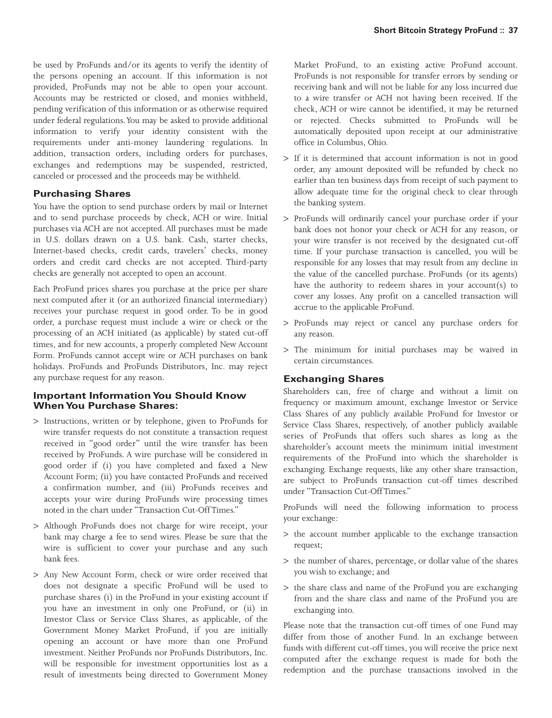be used by ProFunds and/or its agents to verify the identity of the persons opening an account. If this information is not provided, ProFunds may not be able to open your account. Accounts may be restricted or closed, and monies withheld, pending verification of this information or as otherwise required under federal regulations.You may be asked to provide additional information to verify your identity consistent with the requirements under anti-money laundering regulations. In addition, transaction orders, including orders for purchases, exchanges and redemptions may be suspended, restricted, canceled or processed and the proceeds may be withheld.

### **Purchasing Shares**

You have the option to send purchase orders by mail or Internet and to send purchase proceeds by check, ACH or wire. Initial purchases via ACH are not accepted. All purchases must be made in U.S. dollars drawn on a U.S. bank. Cash, starter checks, Internet-based checks, credit cards, travelers' checks, money orders and credit card checks are not accepted. Third-party checks are generally not accepted to open an account.

Each ProFund prices shares you purchase at the price per share next computed after it (or an authorized financial intermediary) receives your purchase request in good order. To be in good order, a purchase request must include a wire or check or the processing of an ACH initiated (as applicable) by stated cut-off times, and for new accounts, a properly completed New Account Form. ProFunds cannot accept wire or ACH purchases on bank holidays. ProFunds and ProFunds Distributors, Inc. may reject any purchase request for any reason.

# **Important InformationYou Should Know WhenYou Purchase Shares:**

- > Instructions, written or by telephone, given to ProFunds for wire transfer requests do not constitute a transaction request received in "good order" until the wire transfer has been received by ProFunds. A wire purchase will be considered in good order if (i) you have completed and faxed a New Account Form; (ii) you have contacted ProFunds and received a confirmation number, and (iii) ProFunds receives and accepts your wire during ProFunds wire processing times noted in the chart under "Transaction Cut-Off Times."
- > Although ProFunds does not charge for wire receipt, your bank may charge a fee to send wires. Please be sure that the wire is sufficient to cover your purchase and any such bank fees.
- > Any New Account Form, check or wire order received that does not designate a specific ProFund will be used to purchase shares (i) in the ProFund in your existing account if you have an investment in only one ProFund, or (ii) in Investor Class or Service Class Shares, as applicable, of the Government Money Market ProFund, if you are initially opening an account or have more than one ProFund investment. Neither ProFunds nor ProFunds Distributors, Inc. will be responsible for investment opportunities lost as a result of investments being directed to Government Money

Market ProFund, to an existing active ProFund account. ProFunds is not responsible for transfer errors by sending or receiving bank and will not be liable for any loss incurred due to a wire transfer or ACH not having been received. If the check, ACH or wire cannot be identified, it may be returned or rejected. Checks submitted to ProFunds will be automatically deposited upon receipt at our administrative office in Columbus, Ohio.

- > If it is determined that account information is not in good order, any amount deposited will be refunded by check no earlier than ten business days from receipt of such payment to allow adequate time for the original check to clear through the banking system.
- > ProFunds will ordinarily cancel your purchase order if your bank does not honor your check or ACH for any reason, or your wire transfer is not received by the designated cut-off time. If your purchase transaction is cancelled, you will be responsible for any losses that may result from any decline in the value of the cancelled purchase. ProFunds (or its agents) have the authority to redeem shares in your account(s) to cover any losses. Any profit on a cancelled transaction will accrue to the applicable ProFund.
- > ProFunds may reject or cancel any purchase orders for any reason.
- > The minimum for initial purchases may be waived in certain circumstances.

# **Exchanging Shares**

Shareholders can, free of charge and without a limit on frequency or maximum amount, exchange Investor or Service Class Shares of any publicly available ProFund for Investor or Service Class Shares, respectively, of another publicly available series of ProFunds that offers such shares as long as the shareholder's account meets the minimum initial investment requirements of the ProFund into which the shareholder is exchanging. Exchange requests, like any other share transaction, are subject to ProFunds transaction cut-off times described under "Transaction Cut-Off Times."

ProFunds will need the following information to process your exchange:

- > the account number applicable to the exchange transaction request;
- > the number of shares, percentage, or dollar value of the shares you wish to exchange; and
- > the share class and name of the ProFund you are exchanging from and the share class and name of the ProFund you are exchanging into.

Please note that the transaction cut-off times of one Fund may differ from those of another Fund. In an exchange between funds with different cut-off times, you will receive the price next computed after the exchange request is made for both the redemption and the purchase transactions involved in the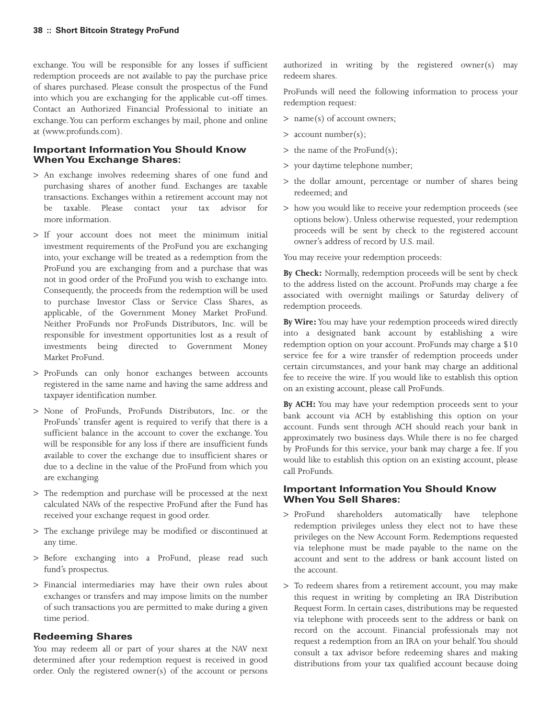exchange. You will be responsible for any losses if sufficient redemption proceeds are not available to pay the purchase price of shares purchased. Please consult the prospectus of the Fund into which you are exchanging for the applicable cut-off times. Contact an Authorized Financial Professional to initiate an exchange.You can perform exchanges by mail, phone and online at (www.profunds.com).

# **Important InformationYou Should Know WhenYou Exchange Shares:**

- > An exchange involves redeeming shares of one fund and purchasing shares of another fund. Exchanges are taxable transactions. Exchanges within a retirement account may not be taxable. Please contact your tax advisor for more information.
- > If your account does not meet the minimum initial investment requirements of the ProFund you are exchanging into, your exchange will be treated as a redemption from the ProFund you are exchanging from and a purchase that was not in good order of the ProFund you wish to exchange into. Consequently, the proceeds from the redemption will be used to purchase Investor Class or Service Class Shares, as applicable, of the Government Money Market ProFund. Neither ProFunds nor ProFunds Distributors, Inc. will be responsible for investment opportunities lost as a result of investments being directed to Government Money Market ProFund.
- > ProFunds can only honor exchanges between accounts registered in the same name and having the same address and taxpayer identification number.
- > None of ProFunds, ProFunds Distributors, Inc. or the ProFunds' transfer agent is required to verify that there is a sufficient balance in the account to cover the exchange. You will be responsible for any loss if there are insufficient funds available to cover the exchange due to insufficient shares or due to a decline in the value of the ProFund from which you are exchanging.
- > The redemption and purchase will be processed at the next calculated NAVs of the respective ProFund after the Fund has received your exchange request in good order.
- > The exchange privilege may be modified or discontinued at any time.
- > Before exchanging into a ProFund, please read such fund's prospectus.
- > Financial intermediaries may have their own rules about exchanges or transfers and may impose limits on the number of such transactions you are permitted to make during a given time period.

# **Redeeming Shares**

You may redeem all or part of your shares at the NAV next determined after your redemption request is received in good order. Only the registered owner(s) of the account or persons authorized in writing by the registered owner(s) may redeem shares.

ProFunds will need the following information to process your redemption request:

- > name(s) of account owners;
- > account number(s);
- > the name of the ProFund(s);
- > your daytime telephone number;
- > the dollar amount, percentage or number of shares being redeemed; and
- > how you would like to receive your redemption proceeds (see options below). Unless otherwise requested, your redemption proceeds will be sent by check to the registered account owner's address of record by U.S. mail.

You may receive your redemption proceeds:

**By Check:** Normally, redemption proceeds will be sent by check to the address listed on the account. ProFunds may charge a fee associated with overnight mailings or Saturday delivery of redemption proceeds.

**By Wire:**You may have your redemption proceeds wired directly into a designated bank account by establishing a wire redemption option on your account. ProFunds may charge a \$10 service fee for a wire transfer of redemption proceeds under certain circumstances, and your bank may charge an additional fee to receive the wire. If you would like to establish this option on an existing account, please call ProFunds.

**By ACH:** You may have your redemption proceeds sent to your bank account via ACH by establishing this option on your account. Funds sent through ACH should reach your bank in approximately two business days. While there is no fee charged by ProFunds for this service, your bank may charge a fee. If you would like to establish this option on an existing account, please call ProFunds.

#### **Important InformationYou Should Know WhenYou Sell Shares:**

- > ProFund shareholders automatically have telephone redemption privileges unless they elect not to have these privileges on the New Account Form. Redemptions requested via telephone must be made payable to the name on the account and sent to the address or bank account listed on the account.
- > To redeem shares from a retirement account, you may make this request in writing by completing an IRA Distribution Request Form. In certain cases, distributions may be requested via telephone with proceeds sent to the address or bank on record on the account. Financial professionals may not request a redemption from an IRA on your behalf.You should consult a tax advisor before redeeming shares and making distributions from your tax qualified account because doing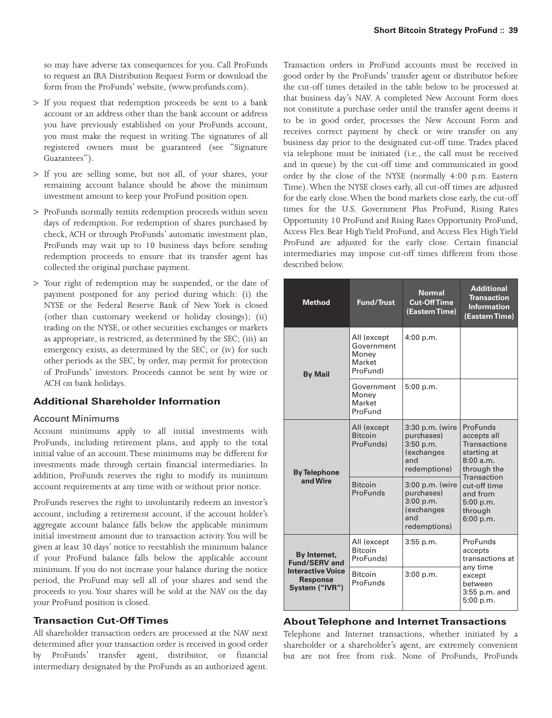so may have adverse tax consequences for you. Call ProFunds to request an IRA Distribution Request Form or download the form from the ProFunds' website, (www.profunds.com).

- > If you request that redemption proceeds be sent to a bank account or an address other than the bank account or address you have previously established on your ProFunds account, you must make the request in writing. The signatures of all registered owners must be guaranteed (see "Signature Guarantees").
- > If you are selling some, but not all, of your shares, your remaining account balance should be above the minimum investment amount to keep your ProFund position open.
- > ProFunds normally remits redemption proceeds within seven days of redemption. For redemption of shares purchased by check, ACH or through ProFunds' automatic investment plan, ProFunds may wait up to 10 business days before sending redemption proceeds to ensure that its transfer agent has collected the original purchase payment.
- > Your right of redemption may be suspended, or the date of payment postponed for any period during which: (i) the NYSE or the Federal Reserve Bank of New York is closed (other than customary weekend or holiday closings); (ii) trading on the NYSE, or other securities exchanges or markets as appropriate, is restricted, as determined by the SEC; (iii) an emergency exists, as determined by the SEC; or (iv) for such other periods as the SEC, by order, may permit for protection of ProFunds' investors. Proceeds cannot be sent by wire or ACH on bank holidays.

# **Additional Shareholder Information**

## Account Minimums

Account minimums apply to all initial investments with ProFunds, including retirement plans, and apply to the total initial value of an account.These minimums may be different for investments made through certain financial intermediaries. In addition, ProFunds reserves the right to modify its minimum account requirements at any time with or without prior notice.

ProFunds reserves the right to involuntarily redeem an investor's account, including a retirement account, if the account holder's aggregate account balance falls below the applicable minimum initial investment amount due to transaction activity. You will be given at least 30 days' notice to reestablish the minimum balance if your ProFund balance falls below the applicable account minimum. If you do not increase your balance during the notice period, the ProFund may sell all of your shares and send the proceeds to you. Your shares will be sold at the NAV on the day your ProFund position is closed.

# **Transaction Cut-Off Times**

All shareholder transaction orders are processed at the NAV next determined after your transaction order is received in good order by ProFunds' transfer agent, distributor, or financial intermediary designated by the ProFunds as an authorized agent.

Transaction orders in ProFund accounts must be received in good order by the ProFunds' transfer agent or distributor before the cut-off times detailed in the table below to be processed at that business day's NAV. A completed New Account Form does not constitute a purchase order until the transfer agent deems it to be in good order, processes the New Account Form and receives correct payment by check or wire transfer on any business day prior to the designated cut-off time. Trades placed via telephone must be initiated (i.e., the call must be received and in queue) by the cut-off time and communicated in good order by the close of the NYSE (normally 4:00 p.m. Eastern Time).When the NYSE closes early, all cut-off times are adjusted for the early close.When the bond markets close early, the cut-off times for the U.S. Government Plus ProFund, Rising Rates Opportunity 10 ProFund and Rising Rates Opportunity ProFund, Access Flex Bear High Yield ProFund, and Access Flex High Yield ProFund are adjusted for the early close. Certain financial intermediaries may impose cut-off times different from those described below.

| <b>Method</b>                                                                                         | <b>Fund/Trust</b>                                        | <b>Normal</b><br><b>Cut-Off Time</b><br>(Eastern Time)                                  | <b>Additional</b><br><b>Transaction</b><br><b>Information</b><br>(Eastern Time)                          |
|-------------------------------------------------------------------------------------------------------|----------------------------------------------------------|-----------------------------------------------------------------------------------------|----------------------------------------------------------------------------------------------------------|
| <b>By Mail</b>                                                                                        | All (except<br>Government<br>Money<br>Market<br>ProFund) | 4:00 p.m.                                                                               |                                                                                                          |
|                                                                                                       | Government<br>Money<br>Market<br>ProFund                 | 5:00 p.m.                                                                               |                                                                                                          |
| <b>By Telephone</b><br>and Wire                                                                       | All (except<br><b>Bitcoin</b><br>ProFunds)               | 3:30 p.m. (wire<br>purchases)<br>3:50 p.m.<br><i>(exchanges)</i><br>and<br>redemptions) | ProFunds<br>accepts all<br><b>Transactions</b><br>starting at<br>8:00 a.m.<br>through the<br>Transaction |
|                                                                                                       | <b>Bitcoin</b><br>ProFunds                               | 3:00 p.m. (wire<br>purchases)<br>3:00 p.m.<br>(exchanges<br>and<br>redemptions)         | cut-off time<br>and from<br>5:00 p.m.<br>through<br>6:00 p.m.                                            |
| By Internet,<br><b>Fund/SERV and</b><br><b>Interactive Voice</b><br><b>Response</b><br>System ("IVR") | All (except<br><b>Bitcoin</b><br>ProFunds)               | $3:55$ p.m.                                                                             | ProFunds<br>accepts<br>transactions at<br>any time                                                       |
|                                                                                                       | <b>Bitcoin</b><br>ProFunds                               | 3:00 p.m.                                                                               | except<br>between<br>$3:55$ p.m. and<br>5:00 p.m.                                                        |

# **About Telephone and Internet Transactions**

Telephone and Internet transactions, whether initiated by a shareholder or a shareholder's agent, are extremely convenient but are not free from risk. None of ProFunds, ProFunds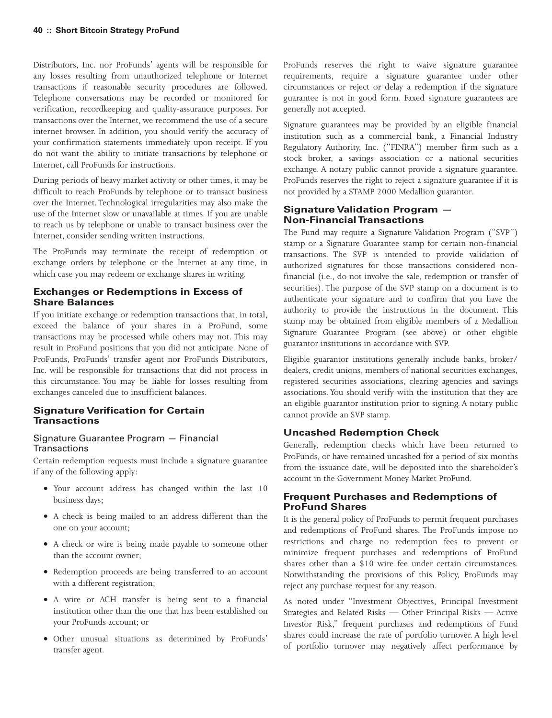Distributors, Inc. nor ProFunds' agents will be responsible for any losses resulting from unauthorized telephone or Internet transactions if reasonable security procedures are followed. Telephone conversations may be recorded or monitored for verification, recordkeeping and quality-assurance purposes. For transactions over the Internet, we recommend the use of a secure internet browser. In addition, you should verify the accuracy of your confirmation statements immediately upon receipt. If you do not want the ability to initiate transactions by telephone or Internet, call ProFunds for instructions.

During periods of heavy market activity or other times, it may be difficult to reach ProFunds by telephone or to transact business over the Internet. Technological irregularities may also make the use of the Internet slow or unavailable at times. If you are unable to reach us by telephone or unable to transact business over the Internet, consider sending written instructions.

The ProFunds may terminate the receipt of redemption or exchange orders by telephone or the Internet at any time, in which case you may redeem or exchange shares in writing.

# **Exchanges or Redemptions in Excess of Share Balances**

If you initiate exchange or redemption transactions that, in total, exceed the balance of your shares in a ProFund, some transactions may be processed while others may not. This may result in ProFund positions that you did not anticipate. None of ProFunds, ProFunds' transfer agent nor ProFunds Distributors, Inc. will be responsible for transactions that did not process in this circumstance. You may be liable for losses resulting from exchanges canceled due to insufficient balances.

# **Signature Verification for Certain Transactions**

# Signature Guarantee Program — Financial **Transactions**

Certain redemption requests must include a signature guarantee if any of the following apply:

- Your account address has changed within the last 10 business days;
- A check is being mailed to an address different than the one on your account;
- A check or wire is being made payable to someone other than the account owner;
- Redemption proceeds are being transferred to an account with a different registration;
- A wire or ACH transfer is being sent to a financial institution other than the one that has been established on your ProFunds account; or
- Other unusual situations as determined by ProFunds' transfer agent.

ProFunds reserves the right to waive signature guarantee requirements, require a signature guarantee under other circumstances or reject or delay a redemption if the signature guarantee is not in good form. Faxed signature guarantees are generally not accepted.

Signature guarantees may be provided by an eligible financial institution such as a commercial bank, a Financial Industry Regulatory Authority, Inc. ("FINRA") member firm such as a stock broker, a savings association or a national securities exchange. A notary public cannot provide a signature guarantee. ProFunds reserves the right to reject a signature guarantee if it is not provided by a STAMP 2000 Medallion guarantor.

# **Signature Validation Program — Non-Financial Transactions**

The Fund may require a Signature Validation Program ("SVP") stamp or a Signature Guarantee stamp for certain non-financial transactions. The SVP is intended to provide validation of authorized signatures for those transactions considered nonfinancial (i.e., do not involve the sale, redemption or transfer of securities). The purpose of the SVP stamp on a document is to authenticate your signature and to confirm that you have the authority to provide the instructions in the document. This stamp may be obtained from eligible members of a Medallion Signature Guarantee Program (see above) or other eligible guarantor institutions in accordance with SVP.

Eligible guarantor institutions generally include banks, broker/ dealers, credit unions, members of national securities exchanges, registered securities associations, clearing agencies and savings associations. You should verify with the institution that they are an eligible guarantor institution prior to signing. A notary public cannot provide an SVP stamp.

# **Uncashed Redemption Check**

Generally, redemption checks which have been returned to ProFunds, or have remained uncashed for a period of six months from the issuance date, will be deposited into the shareholder's account in the Government Money Market ProFund.

# **Frequent Purchases and Redemptions of ProFund Shares**

It is the general policy of ProFunds to permit frequent purchases and redemptions of ProFund shares. The ProFunds impose no restrictions and charge no redemption fees to prevent or minimize frequent purchases and redemptions of ProFund shares other than a \$10 wire fee under certain circumstances. Notwithstanding the provisions of this Policy, ProFunds may reject any purchase request for any reason.

As noted under "Investment Objectives, Principal Investment Strategies and Related Risks — Other Principal Risks — Active Investor Risk," frequent purchases and redemptions of Fund shares could increase the rate of portfolio turnover. A high level of portfolio turnover may negatively affect performance by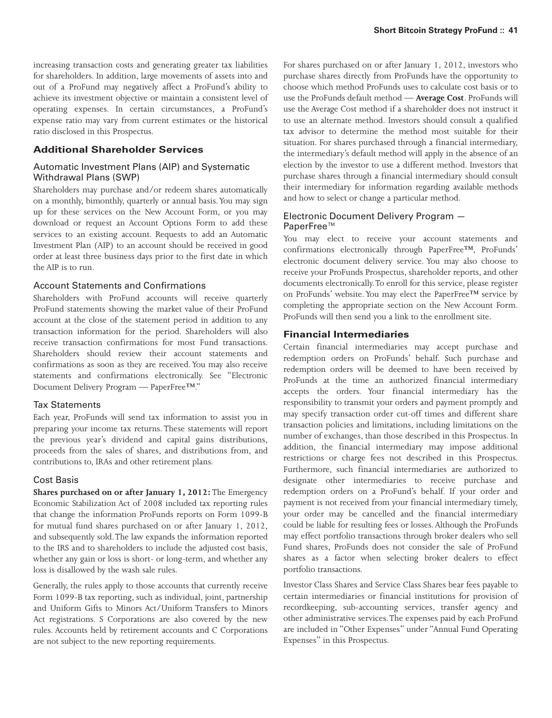increasing transaction costs and generating greater tax liabilities for shareholders. In addition, large movements of assets into and out of a ProFund may negatively affect a ProFund's ability to achieve its investment objective or maintain a consistent level of operating expenses. In certain circumstances, a ProFund's expense ratio may vary from current estimates or the historical ratio disclosed in this Prospectus.

# **Additional Shareholder Services**

## Automatic Investment Plans (AIP) and Systematic Withdrawal Plans (SWP)

Shareholders may purchase and/or redeem shares automatically on a monthly, bimonthly, quarterly or annual basis.You may sign up for these services on the New Account Form, or you may download or request an Account Options Form to add these services to an existing account. Requests to add an Automatic Investment Plan (AIP) to an account should be received in good order at least three business days prior to the first date in which the AIP is to run.

#### Account Statements and Confirmations

Shareholders with ProFund accounts will receive quarterly ProFund statements showing the market value of their ProFund account at the close of the statement period in addition to any transaction information for the period. Shareholders will also receive transaction confirmations for most Fund transactions. Shareholders should review their account statements and confirmations as soon as they are received. You may also receive statements and confirmations electronically. See "Electronic Document Delivery Program — PaperFree™."

#### Tax Statements

Each year, ProFunds will send tax information to assist you in preparing your income tax returns. These statements will report the previous year's dividend and capital gains distributions, proceeds from the sales of shares, and distributions from, and contributions to, IRAs and other retirement plans.

#### Cost Basis

**Shares purchased on or after January 1, 2012:**The Emergency Economic Stabilization Act of 2008 included tax reporting rules that change the information ProFunds reports on Form 1099-B for mutual fund shares purchased on or after January 1, 2012, and subsequently sold.The law expands the information reported to the IRS and to shareholders to include the adjusted cost basis, whether any gain or loss is short- or long-term, and whether any loss is disallowed by the wash sale rules.

Generally, the rules apply to those accounts that currently receive Form 1099-B tax reporting, such as individual, joint, partnership and Uniform Gifts to Minors Act/Uniform Transfers to Minors Act registrations. S Corporations are also covered by the new rules. Accounts held by retirement accounts and C Corporations are not subject to the new reporting requirements.

For shares purchased on or after January 1, 2012, investors who purchase shares directly from ProFunds have the opportunity to choose which method ProFunds uses to calculate cost basis or to use the ProFunds default method — **Average Cost**. ProFunds will use the Average Cost method if a shareholder does not instruct it to use an alternate method. Investors should consult a qualified tax advisor to determine the method most suitable for their situation. For shares purchased through a financial intermediary, the intermediary's default method will apply in the absence of an election by the investor to use a different method. Investors that purchase shares through a financial intermediary should consult their intermediary for information regarding available methods and how to select or change a particular method.

## Electronic Document Delivery Program — PaperFree™

You may elect to receive your account statements and confirmations electronically through PaperFree™, ProFunds' electronic document delivery service. You may also choose to receive your ProFunds Prospectus, shareholder reports, and other documents electronically.To enroll for this service, please register on ProFunds' website. You may elect the PaperFree™ service by completing the appropriate section on the New Account Form. ProFunds will then send you a link to the enrollment site.

# **Financial Intermediaries**

Certain financial intermediaries may accept purchase and redemption orders on ProFunds' behalf. Such purchase and redemption orders will be deemed to have been received by ProFunds at the time an authorized financial intermediary accepts the orders. Your financial intermediary has the responsibility to transmit your orders and payment promptly and may specify transaction order cut-off times and different share transaction policies and limitations, including limitations on the number of exchanges, than those described in this Prospectus. In addition, the financial intermediary may impose additional restrictions or charge fees not described in this Prospectus. Furthermore, such financial intermediaries are authorized to designate other intermediaries to receive purchase and redemption orders on a ProFund's behalf. If your order and payment is not received from your financial intermediary timely, your order may be cancelled and the financial intermediary could be liable for resulting fees or losses. Although the ProFunds may effect portfolio transactions through broker dealers who sell Fund shares, ProFunds does not consider the sale of ProFund shares as a factor when selecting broker dealers to effect portfolio transactions.

Investor Class Shares and Service Class Shares bear fees payable to certain intermediaries or financial institutions for provision of recordkeeping, sub-accounting services, transfer agency and other administrative services.The expenses paid by each ProFund are included in "Other Expenses" under "Annual Fund Operating Expenses" in this Prospectus.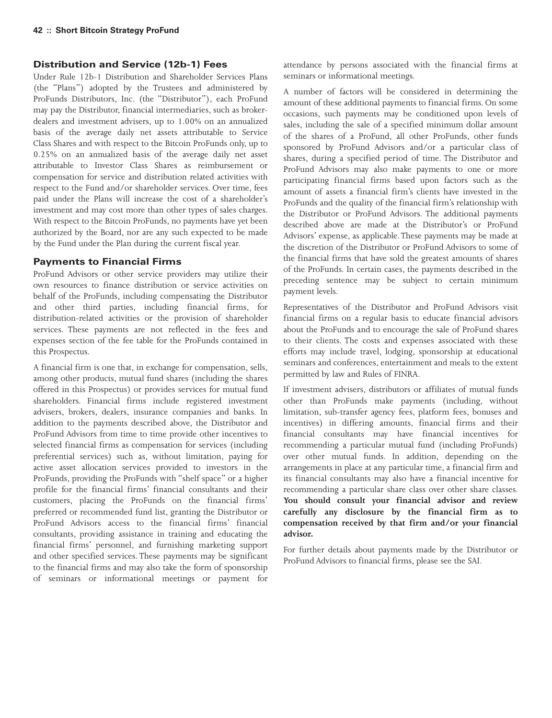# **Distribution and Service (12b-1) Fees**

Under Rule 12b-1 Distribution and Shareholder Services Plans (the "Plans") adopted by the Trustees and administered by ProFunds Distributors, Inc. (the "Distributor"), each ProFund may pay the Distributor, financial intermediaries, such as brokerdealers and investment advisers, up to 1.00% on an annualized basis of the average daily net assets attributable to Service Class Shares and with respect to the Bitcoin ProFunds only, up to 0.25% on an annualized basis of the average daily net asset attributable to Investor Class Shares as reimbursement or compensation for service and distribution related activities with respect to the Fund and/or shareholder services. Over time, fees paid under the Plans will increase the cost of a shareholder's investment and may cost more than other types of sales charges. With respect to the Bitcoin ProFunds, no payments have yet been authorized by the Board, nor are any such expected to be made by the Fund under the Plan during the current fiscal year.

# **Payments to Financial Firms**

ProFund Advisors or other service providers may utilize their own resources to finance distribution or service activities on behalf of the ProFunds, including compensating the Distributor and other third parties, including financial firms, for distribution-related activities or the provision of shareholder services. These payments are not reflected in the fees and expenses section of the fee table for the ProFunds contained in this Prospectus.

A financial firm is one that, in exchange for compensation, sells, among other products, mutual fund shares (including the shares offered in this Prospectus) or provides services for mutual fund shareholders. Financial firms include registered investment advisers, brokers, dealers, insurance companies and banks. In addition to the payments described above, the Distributor and ProFund Advisors from time to time provide other incentives to selected financial firms as compensation for services (including preferential services) such as, without limitation, paying for active asset allocation services provided to investors in the ProFunds, providing the ProFunds with "shelf space" or a higher profile for the financial firms' financial consultants and their customers, placing the ProFunds on the financial firms' preferred or recommended fund list, granting the Distributor or ProFund Advisors access to the financial firms' financial consultants, providing assistance in training and educating the financial firms' personnel, and furnishing marketing support and other specified services. These payments may be significant to the financial firms and may also take the form of sponsorship of seminars or informational meetings or payment for

attendance by persons associated with the financial firms at seminars or informational meetings.

A number of factors will be considered in determining the amount of these additional payments to financial firms. On some occasions, such payments may be conditioned upon levels of sales, including the sale of a specified minimum dollar amount of the shares of a ProFund, all other ProFunds, other funds sponsored by ProFund Advisors and/or a particular class of shares, during a specified period of time. The Distributor and ProFund Advisors may also make payments to one or more participating financial firms based upon factors such as the amount of assets a financial firm's clients have invested in the ProFunds and the quality of the financial firm's relationship with the Distributor or ProFund Advisors. The additional payments described above are made at the Distributor's or ProFund Advisors' expense, as applicable.These payments may be made at the discretion of the Distributor or ProFund Advisors to some of the financial firms that have sold the greatest amounts of shares of the ProFunds. In certain cases, the payments described in the preceding sentence may be subject to certain minimum payment levels.

Representatives of the Distributor and ProFund Advisors visit financial firms on a regular basis to educate financial advisors about the ProFunds and to encourage the sale of ProFund shares to their clients. The costs and expenses associated with these efforts may include travel, lodging, sponsorship at educational seminars and conferences, entertainment and meals to the extent permitted by law and Rules of FINRA.

If investment advisers, distributors or affiliates of mutual funds other than ProFunds make payments (including, without limitation, sub-transfer agency fees, platform fees, bonuses and incentives) in differing amounts, financial firms and their financial consultants may have financial incentives for recommending a particular mutual fund (including ProFunds) over other mutual funds. In addition, depending on the arrangements in place at any particular time, a financial firm and its financial consultants may also have a financial incentive for recommending a particular share class over other share classes. **You should consult your financial advisor and review carefully any disclosure by the financial firm as to compensation received by that firm and/or your financial advisor.**

For further details about payments made by the Distributor or ProFund Advisors to financial firms, please see the SAI.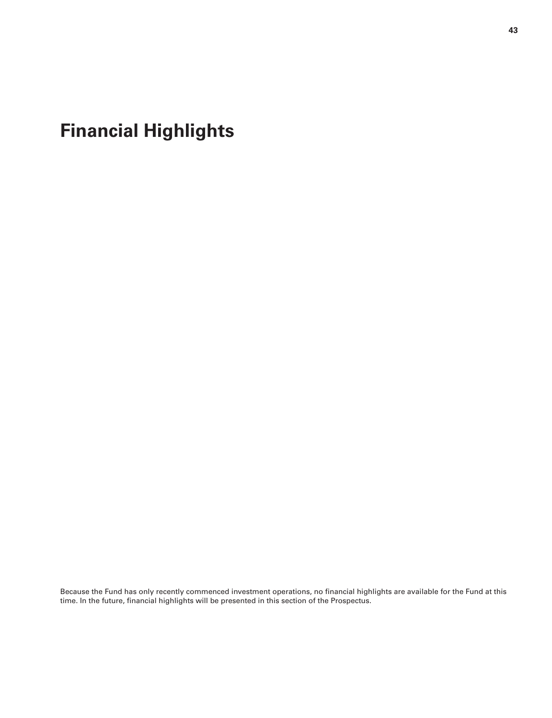<span id="page-42-0"></span>**Financial Highlights**

Because the Fund has only recently commenced investment operations, no financial highlights are available for the Fund at this time. In the future, financial highlights will be presented in this section of the Prospectus.